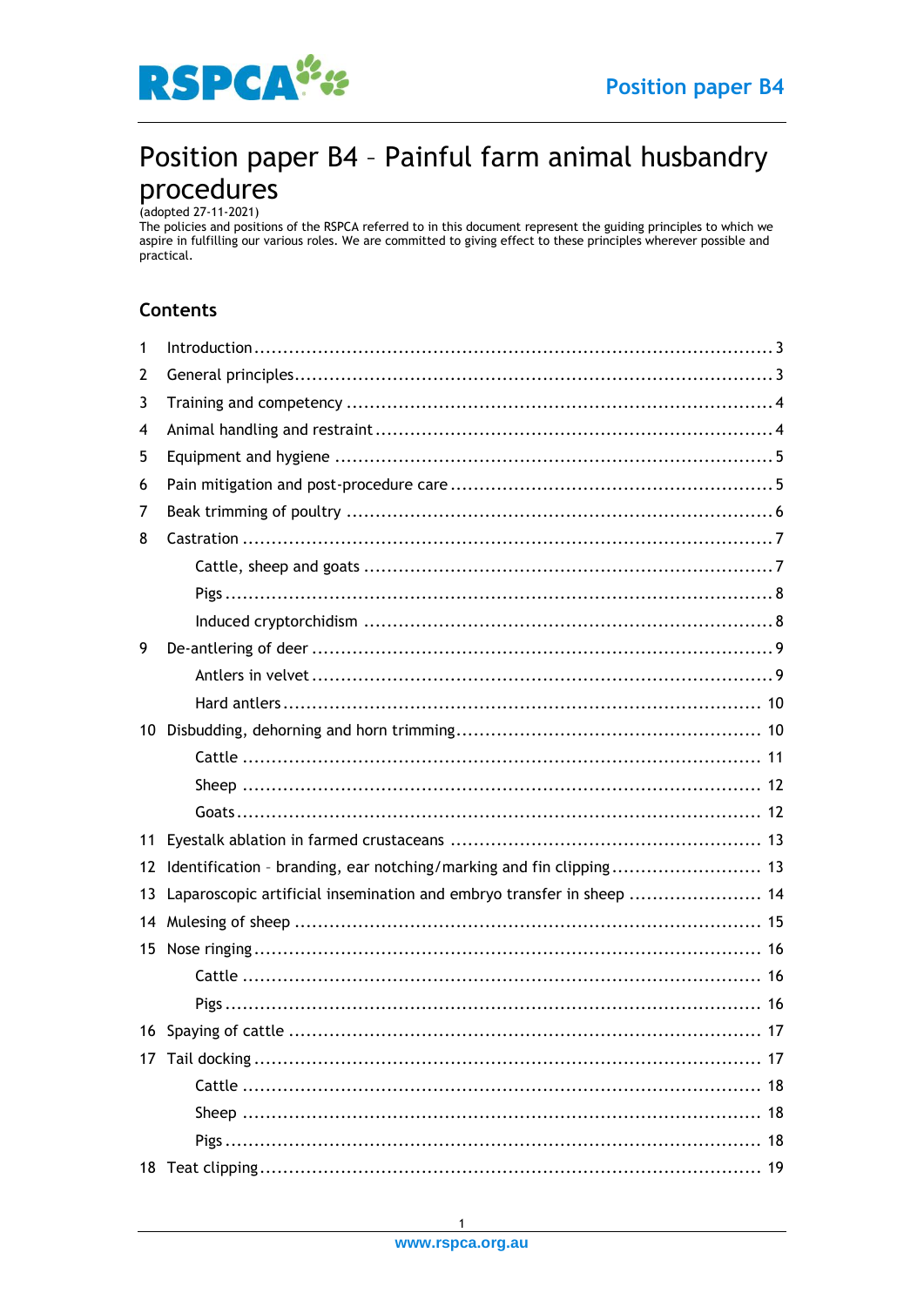

# Position paper B4 - Painful farm animal husbandry  $\mathsf{procedures}_{\scriptscriptstyle{\text{(adopted 27-11-2021)}}$

The policies and positions of the RSPCA referred to in this document represent the guiding principles to which we aspire in fulfilling our various roles. We are committed to giving effect to these principles wherever possible and practical.

## **Contents**

| 1                 | $Introduction \dots 3$                                                |
|-------------------|-----------------------------------------------------------------------|
| 2                 |                                                                       |
| 3                 |                                                                       |
| 4                 |                                                                       |
| 5                 |                                                                       |
| 6                 |                                                                       |
| 7                 |                                                                       |
| 8                 |                                                                       |
|                   |                                                                       |
|                   |                                                                       |
|                   |                                                                       |
| 9                 |                                                                       |
|                   |                                                                       |
|                   |                                                                       |
|                   |                                                                       |
|                   |                                                                       |
|                   |                                                                       |
|                   |                                                                       |
| 11                |                                                                       |
| $12 \overline{ }$ | Identification - branding, ear notching/marking and fin clipping 13   |
| 13                | Laparoscopic artificial insemination and embryo transfer in sheep  14 |
| 14                |                                                                       |
|                   |                                                                       |
|                   |                                                                       |
|                   |                                                                       |
|                   | 17                                                                    |
|                   |                                                                       |
|                   |                                                                       |
|                   |                                                                       |
|                   |                                                                       |
|                   |                                                                       |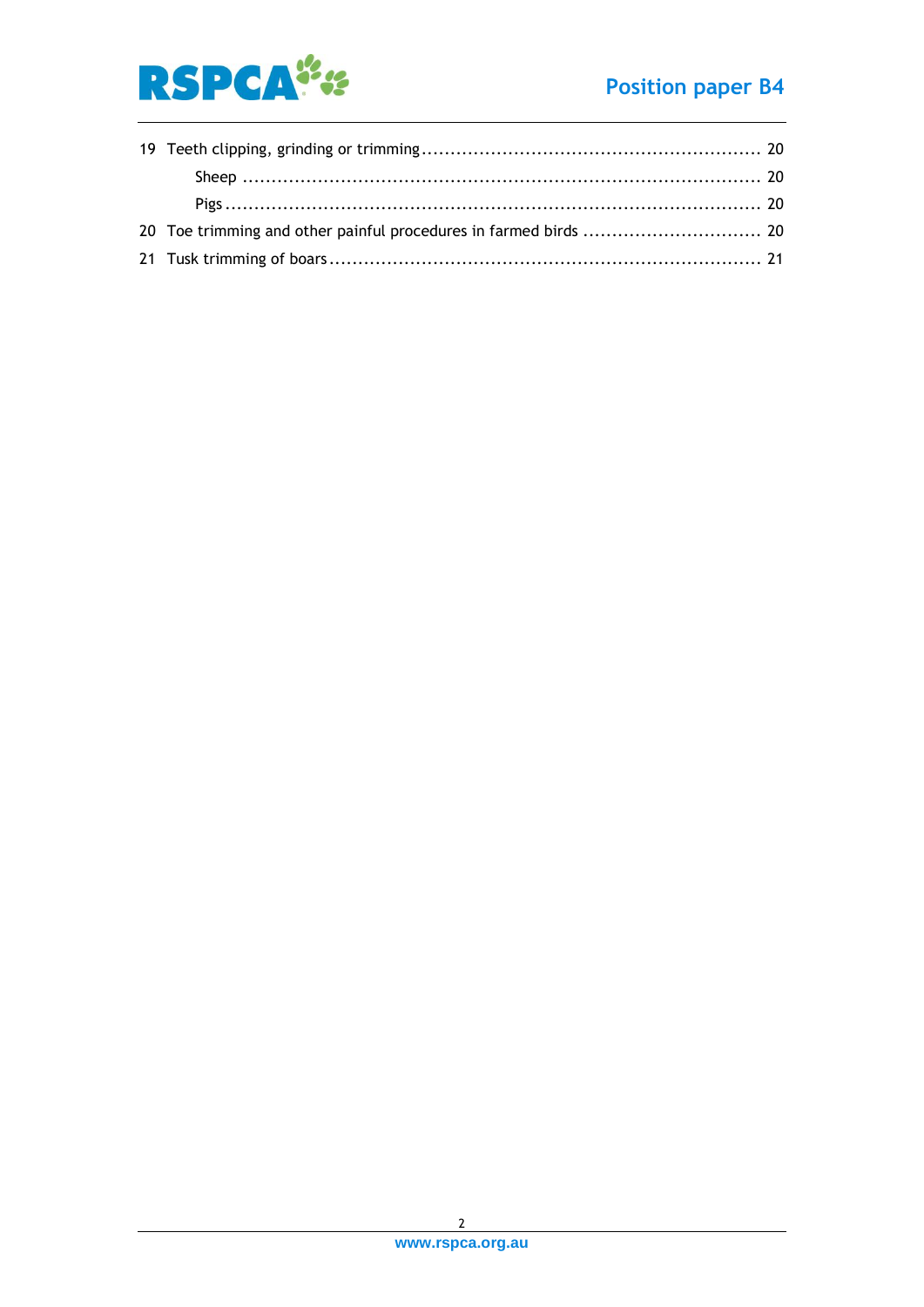

## **Position paper B4**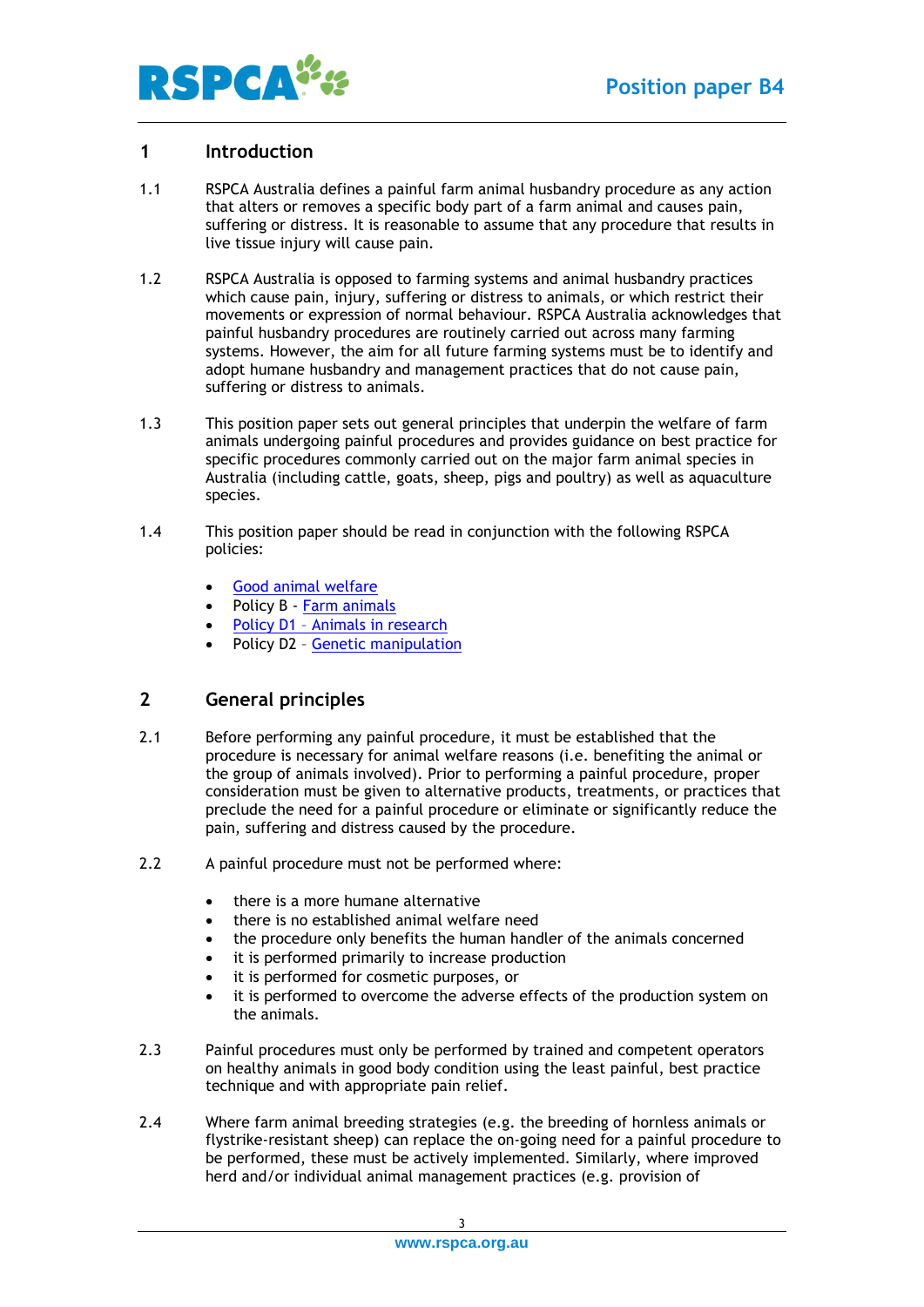

## <span id="page-2-0"></span>**1 Introduction**

- 1.1 RSPCA Australia defines a painful farm animal husbandry procedure as any action that alters or removes a specific body part of a farm animal and causes pain, suffering or distress. It is reasonable to assume that any procedure that results in live tissue injury will cause pain.
- 1.2 RSPCA Australia is opposed to farming systems and animal husbandry practices which cause pain, injury, suffering or distress to animals, or which restrict their movements or expression of normal behaviour. RSPCA Australia acknowledges that painful husbandry procedures are routinely carried out across many farming systems. However, the aim for all future farming systems must be to identify and adopt humane husbandry and management practices that do not cause pain, suffering or distress to animals.
- 1.3 This position paper sets out general principles that underpin the welfare of farm animals undergoing painful procedures and provides guidance on best practice for specific procedures commonly carried out on the major farm animal species in Australia (including cattle, goats, sheep, pigs and poultry) as well as aquaculture species.
- 1.4 This position paper should be read in conjunction with the following RSPCA policies:
	- [Good animal welfare](https://kb.rspca.org.au/knowledge-base/good-animal-welfare/)
	- Policy B [Farm animals](https://kb.rspca.org.au/article-categories/policies-farm-animals/)
	- Policy D1 Animals in research
	- Policy D2 [Genetic manipulation](https://kb.rspca.org.au/knowledge-base/rspca-policy-d2-genetic-manipulation/)

## <span id="page-2-1"></span>**2 General principles**

- 2.1 Before performing any painful procedure, it must be established that the procedure is necessary for animal welfare reasons (i.e. benefiting the animal or the group of animals involved). Prior to performing a painful procedure, proper consideration must be given to alternative products, treatments, or practices that preclude the need for a painful procedure or eliminate or significantly reduce the pain, suffering and distress caused by the procedure.
- 2.2 A painful procedure must not be performed where:
	- there is a more humane alternative
	- there is no established animal welfare need
	- the procedure only benefits the human handler of the animals concerned
	- it is performed primarily to increase production
	- it is performed for cosmetic purposes, or
	- it is performed to overcome the adverse effects of the production system on the animals.
- 2.3 Painful procedures must only be performed by trained and competent operators on healthy animals in good body condition using the least painful, best practice technique and with appropriate pain relief.
- 2.4 Where farm animal breeding strategies (e.g. the breeding of hornless animals or flystrike-resistant sheep) can replace the on-going need for a painful procedure to be performed, these must be actively implemented. Similarly, where improved herd and/or individual animal management practices (e.g. provision of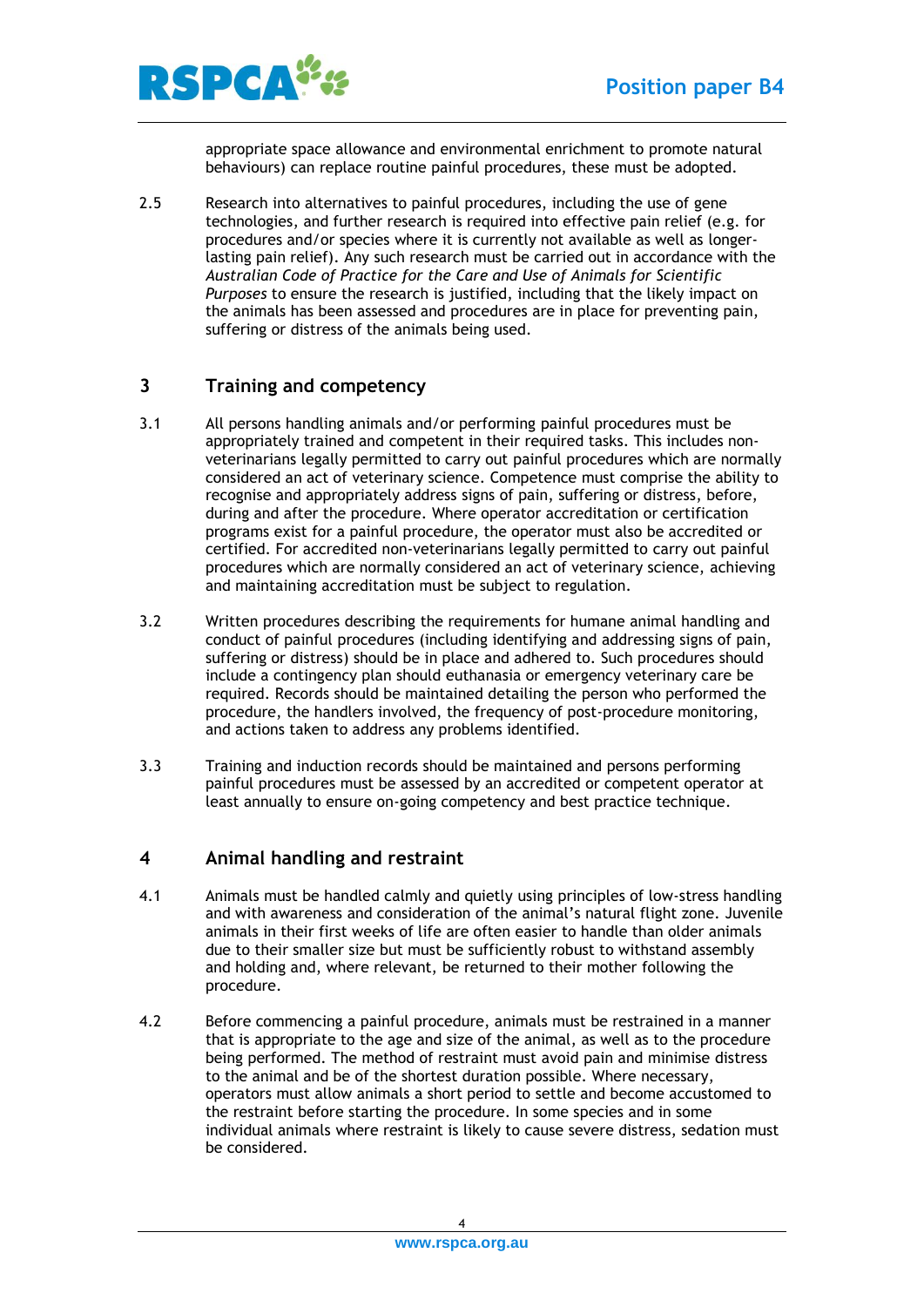

appropriate space allowance and environmental enrichment to promote natural behaviours) can replace routine painful procedures, these must be adopted.

2.5 Research into alternatives to painful procedures, including the use of gene technologies, and further research is required into effective pain relief (e.g. for procedures and/or species where it is currently not available as well as longerlasting pain relief). Any such research must be carried out in accordance with the *Australian Code of Practice for the Care and Use of Animals for Scientific Purposes* to ensure the research is justified, including that the likely impact on the animals has been assessed and procedures are in place for preventing pain, suffering or distress of the animals being used.

## <span id="page-3-0"></span>**3 Training and competency**

- 3.1 All persons handling animals and/or performing painful procedures must be appropriately trained and competent in their required tasks. This includes nonveterinarians legally permitted to carry out painful procedures which are normally considered an act of veterinary science. Competence must comprise the ability to recognise and appropriately address signs of pain, suffering or distress, before, during and after the procedure. Where operator accreditation or certification programs exist for a painful procedure, the operator must also be accredited or certified. For accredited non-veterinarians legally permitted to carry out painful procedures which are normally considered an act of veterinary science, achieving and maintaining accreditation must be subject to regulation.
- 3.2 Written procedures describing the requirements for humane animal handling and conduct of painful procedures (including identifying and addressing signs of pain, suffering or distress) should be in place and adhered to. Such procedures should include a contingency plan should euthanasia or emergency veterinary care be required. Records should be maintained detailing the person who performed the procedure, the handlers involved, the frequency of post-procedure monitoring, and actions taken to address any problems identified.
- 3.3 Training and induction records should be maintained and persons performing painful procedures must be assessed by an accredited or competent operator at least annually to ensure on-going competency and best practice technique.

## <span id="page-3-1"></span>**4 Animal handling and restraint**

- 4.1 Animals must be handled calmly and quietly using principles of low-stress handling and with awareness and consideration of the animal's natural flight zone. Juvenile animals in their first weeks of life are often easier to handle than older animals due to their smaller size but must be sufficiently robust to withstand assembly and holding and, where relevant, be returned to their mother following the procedure.
- 4.2 Before commencing a painful procedure, animals must be restrained in a manner that is appropriate to the age and size of the animal, as well as to the procedure being performed. The method of restraint must avoid pain and minimise distress to the animal and be of the shortest duration possible. Where necessary, operators must allow animals a short period to settle and become accustomed to the restraint before starting the procedure. In some species and in some individual animals where restraint is likely to cause severe distress, sedation must be considered.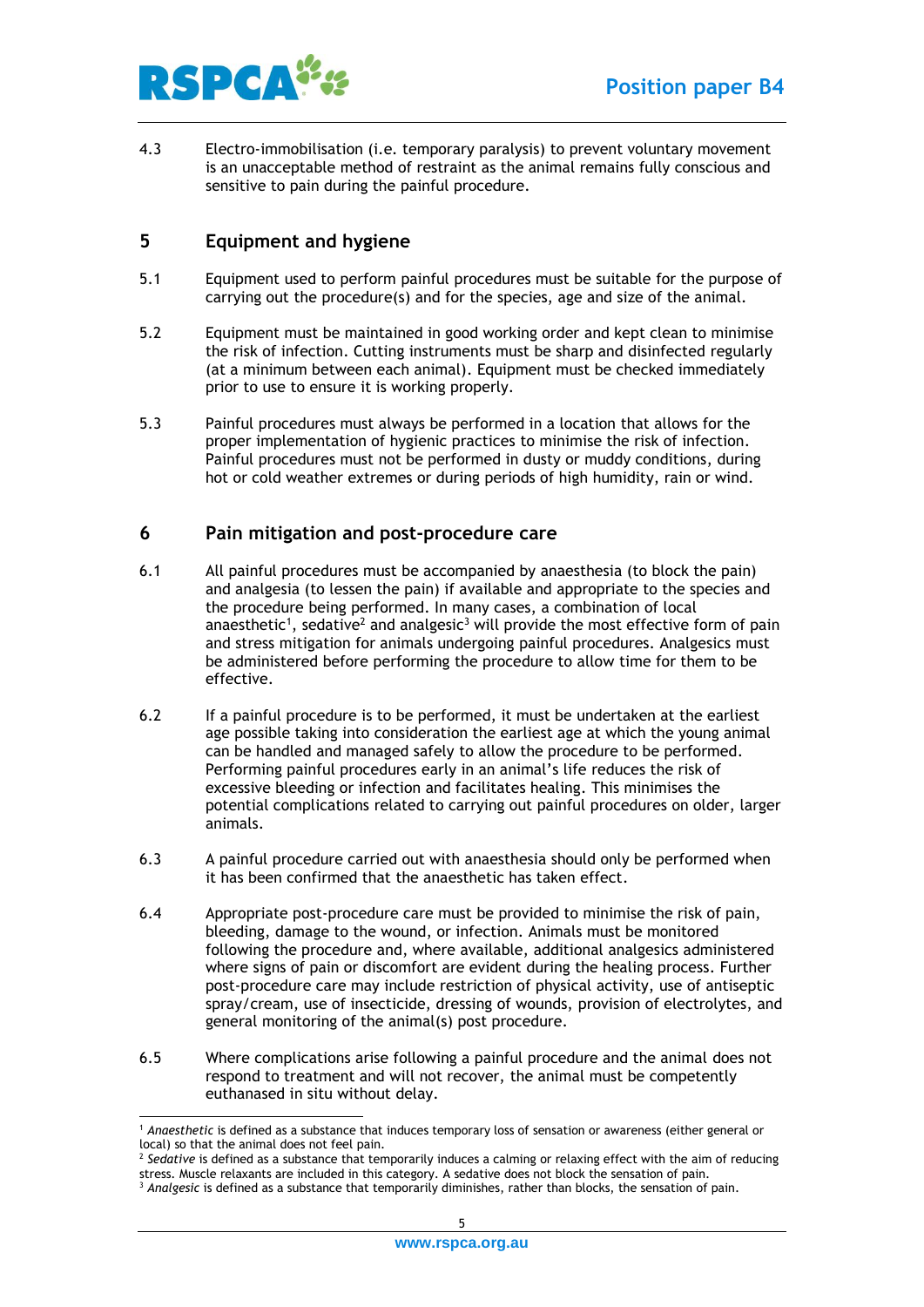

4.3 Electro-immobilisation (i.e. temporary paralysis) to prevent voluntary movement is an unacceptable method of restraint as the animal remains fully conscious and sensitive to pain during the painful procedure.

## <span id="page-4-0"></span>**5 Equipment and hygiene**

- 5.1 Equipment used to perform painful procedures must be suitable for the purpose of carrying out the procedure(s) and for the species, age and size of the animal.
- 5.2 Equipment must be maintained in good working order and kept clean to minimise the risk of infection. Cutting instruments must be sharp and disinfected regularly (at a minimum between each animal). Equipment must be checked immediately prior to use to ensure it is working properly.
- 5.3 Painful procedures must always be performed in a location that allows for the proper implementation of hygienic practices to minimise the risk of infection. Painful procedures must not be performed in dusty or muddy conditions, during hot or cold weather extremes or during periods of high humidity, rain or wind.

#### <span id="page-4-1"></span>**6 Pain mitigation and post-procedure care**

- 6.1 All painful procedures must be accompanied by anaesthesia (to block the pain) and analgesia (to lessen the pain) if available and appropriate to the species and the procedure being performed. In many cases, a combination of local anaesthetic<sup>1</sup>, sedative<sup>2</sup> and analgesic<sup>3</sup> will provide the most effective form of pain and stress mitigation for animals undergoing painful procedures. Analgesics must be administered before performing the procedure to allow time for them to be effective.
- 6.2 If a painful procedure is to be performed, it must be undertaken at the earliest age possible taking into consideration the earliest age at which the young animal can be handled and managed safely to allow the procedure to be performed. Performing painful procedures early in an animal's life reduces the risk of excessive bleeding or infection and facilitates healing. This minimises the potential complications related to carrying out painful procedures on older, larger animals.
- 6.3 A painful procedure carried out with anaesthesia should only be performed when it has been confirmed that the anaesthetic has taken effect.
- 6.4 Appropriate post-procedure care must be provided to minimise the risk of pain, bleeding, damage to the wound, or infection. Animals must be monitored following the procedure and, where available, additional analgesics administered where signs of pain or discomfort are evident during the healing process. Further post-procedure care may include restriction of physical activity, use of antiseptic spray/cream, use of insecticide, dressing of wounds, provision of electrolytes, and general monitoring of the animal(s) post procedure.
- 6.5 Where complications arise following a painful procedure and the animal does not respond to treatment and will not recover, the animal must be competently euthanased in situ without delay.

<sup>1</sup> *Anaesthetic* is defined as a substance that induces temporary loss of sensation or awareness (either general or local) so that the animal does not feel pain.

<sup>2</sup> *Sedative* is defined as a substance that temporarily induces a calming or relaxing effect with the aim of reducing stress. Muscle relaxants are included in this category. A sedative does not block the sensation of pain.

<sup>3</sup> *Analgesic* is defined as a substance that temporarily diminishes, rather than blocks, the sensation of pain.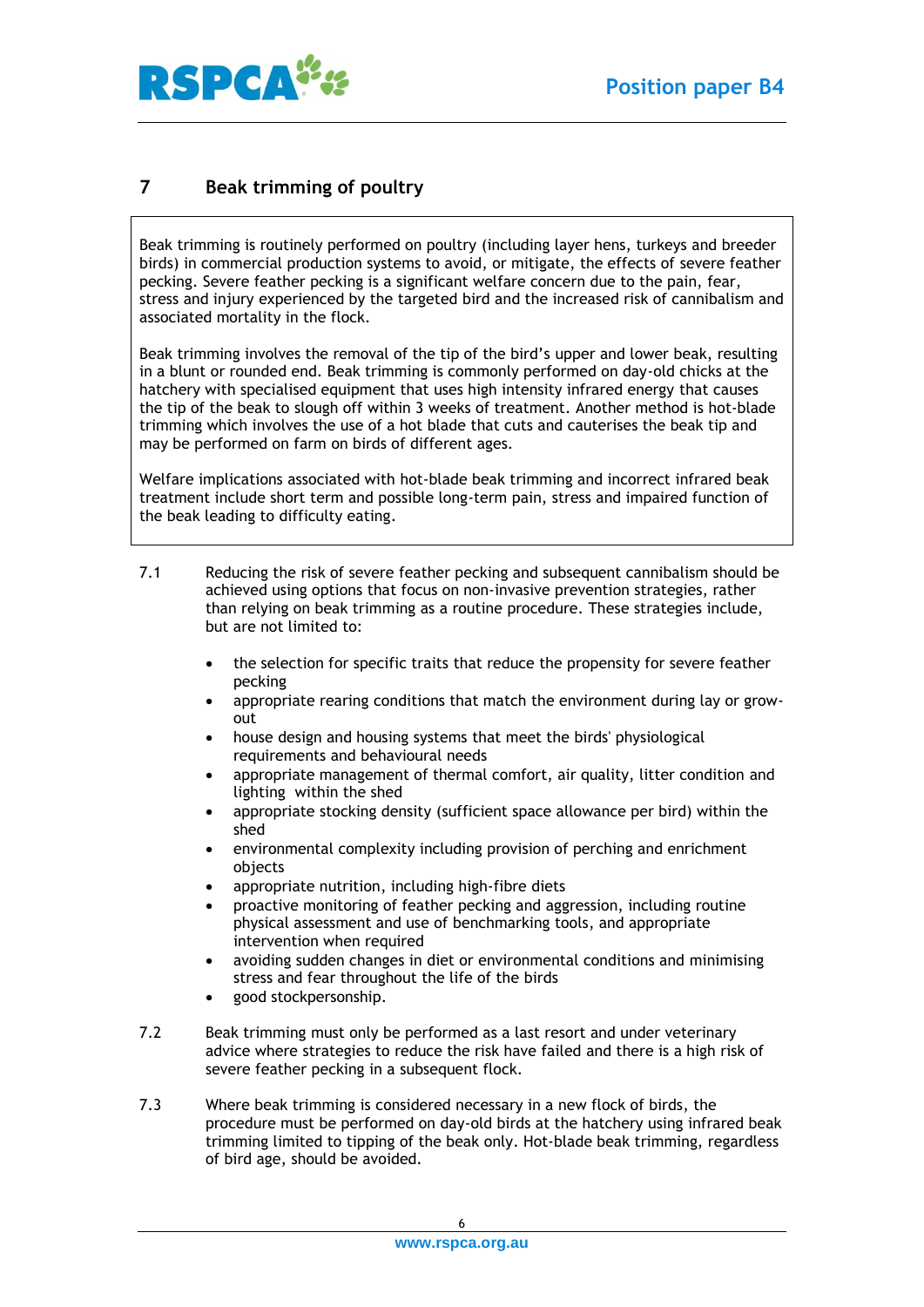



## <span id="page-5-0"></span>**7 Beak trimming of poultry**

Beak trimming is routinely performed on poultry (including layer hens, turkeys and breeder birds) in commercial production systems to avoid, or mitigate, the effects of severe feather pecking. Severe feather pecking is a significant welfare concern due to the pain, fear, stress and injury experienced by the targeted bird and the increased risk of cannibalism and associated mortality in the flock.

Beak trimming involves the removal of the tip of the bird's upper and lower beak, resulting in a blunt or rounded end. Beak trimming is commonly performed on day-old chicks at the hatchery with specialised equipment that uses high intensity infrared energy that causes the tip of the beak to slough off within 3 weeks of treatment. Another method is hot-blade trimming which involves the use of a hot blade that cuts and cauterises the beak tip and may be performed on farm on birds of different ages.

Welfare implications associated with hot-blade beak trimming and incorrect infrared beak treatment include short term and possible long-term pain, stress and impaired function of the beak leading to difficulty eating.

- 7.1 Reducing the risk of severe feather pecking and subsequent cannibalism should be achieved using options that focus on non-invasive prevention strategies, rather than relying on beak trimming as a routine procedure. These strategies include, but are not limited to:
	- the selection for specific traits that reduce the propensity for severe feather pecking
	- appropriate rearing conditions that match the environment during lay or growout
	- house design and housing systems that meet the birds' physiological requirements and behavioural needs
	- appropriate management of thermal comfort, air quality, litter condition and lighting within the shed
	- appropriate stocking density (sufficient space allowance per bird) within the shed
	- environmental complexity including provision of perching and enrichment objects
	- appropriate nutrition, including high-fibre diets
	- proactive monitoring of feather pecking and aggression, including routine physical assessment and use of benchmarking tools, and appropriate intervention when required
	- avoiding sudden changes in diet or environmental conditions and minimising stress and fear throughout the life of the birds
	- good stockpersonship.
- 7.2 Beak trimming must only be performed as a last resort and under veterinary advice where strategies to reduce the risk have failed and there is a high risk of severe feather pecking in a subsequent flock.
- 7.3 Where beak trimming is considered necessary in a new flock of birds, the procedure must be performed on day-old birds at the hatchery using infrared beak trimming limited to tipping of the beak only. Hot-blade beak trimming, regardless of bird age, should be avoided.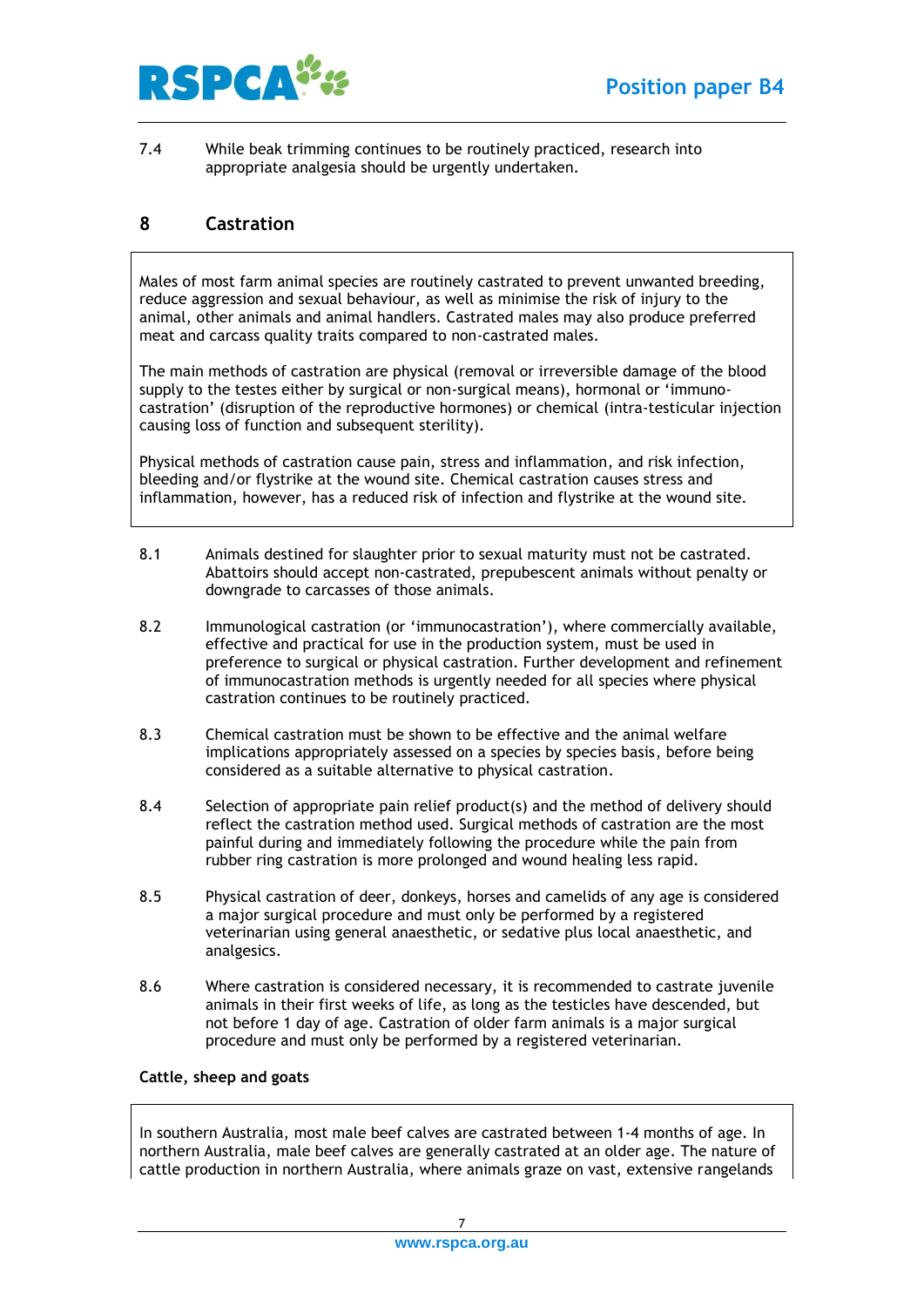

7.4 While beak trimming continues to be routinely practiced, research into appropriate analgesia should be urgently undertaken.

## <span id="page-6-0"></span>**8 Castration**

Males of most farm animal species are routinely castrated to prevent unwanted breeding, reduce aggression and sexual behaviour, as well as minimise the risk of injury to the animal, other animals and animal handlers. Castrated males may also produce preferred meat and carcass quality traits compared to non-castrated males.

The main methods of castration are physical (removal or irreversible damage of the blood supply to the testes either by surgical or non-surgical means), hormonal or 'immunocastration' (disruption of the reproductive hormones) or chemical (intra-testicular injection causing loss of function and subsequent sterility).

Physical methods of castration cause pain, stress and inflammation, and risk infection, bleeding and/or flystrike at the wound site. Chemical castration causes stress and inflammation, however, has a reduced risk of infection and flystrike at the wound site.

- 8.1 Animals destined for slaughter prior to sexual maturity must not be castrated. Abattoirs should accept non-castrated, prepubescent animals without penalty or downgrade to carcasses of those animals.
- 8.2 Immunological castration (or 'immunocastration'), where commercially available, effective and practical for use in the production system, must be used in preference to surgical or physical castration. Further development and refinement of immunocastration methods is urgently needed for all species where physical castration continues to be routinely practiced.
- 8.3 Chemical castration must be shown to be effective and the animal welfare implications appropriately assessed on a species by species basis, before being considered as a suitable alternative to physical castration.
- 8.4 Selection of appropriate pain relief product(s) and the method of delivery should reflect the castration method used. Surgical methods of castration are the most painful during and immediately following the procedure while the pain from rubber ring castration is more prolonged and wound healing less rapid.
- 8.5 Physical castration of deer, donkeys, horses and camelids of any age is considered a major surgical procedure and must only be performed by a registered veterinarian using general anaesthetic, or sedative plus local anaesthetic, and analgesics.
- 8.6 Where castration is considered necessary, it is recommended to castrate juvenile animals in their first weeks of life, as long as the testicles have descended, but not before 1 day of age. Castration of older farm animals is a major surgical procedure and must only be performed by a registered veterinarian.

#### <span id="page-6-1"></span>**Cattle, sheep and goats**

In southern Australia, most male beef calves are castrated between 1-4 months of age. In northern Australia, male beef calves are generally castrated at an older age. The nature of cattle production in northern Australia, where animals graze on vast, extensive rangelands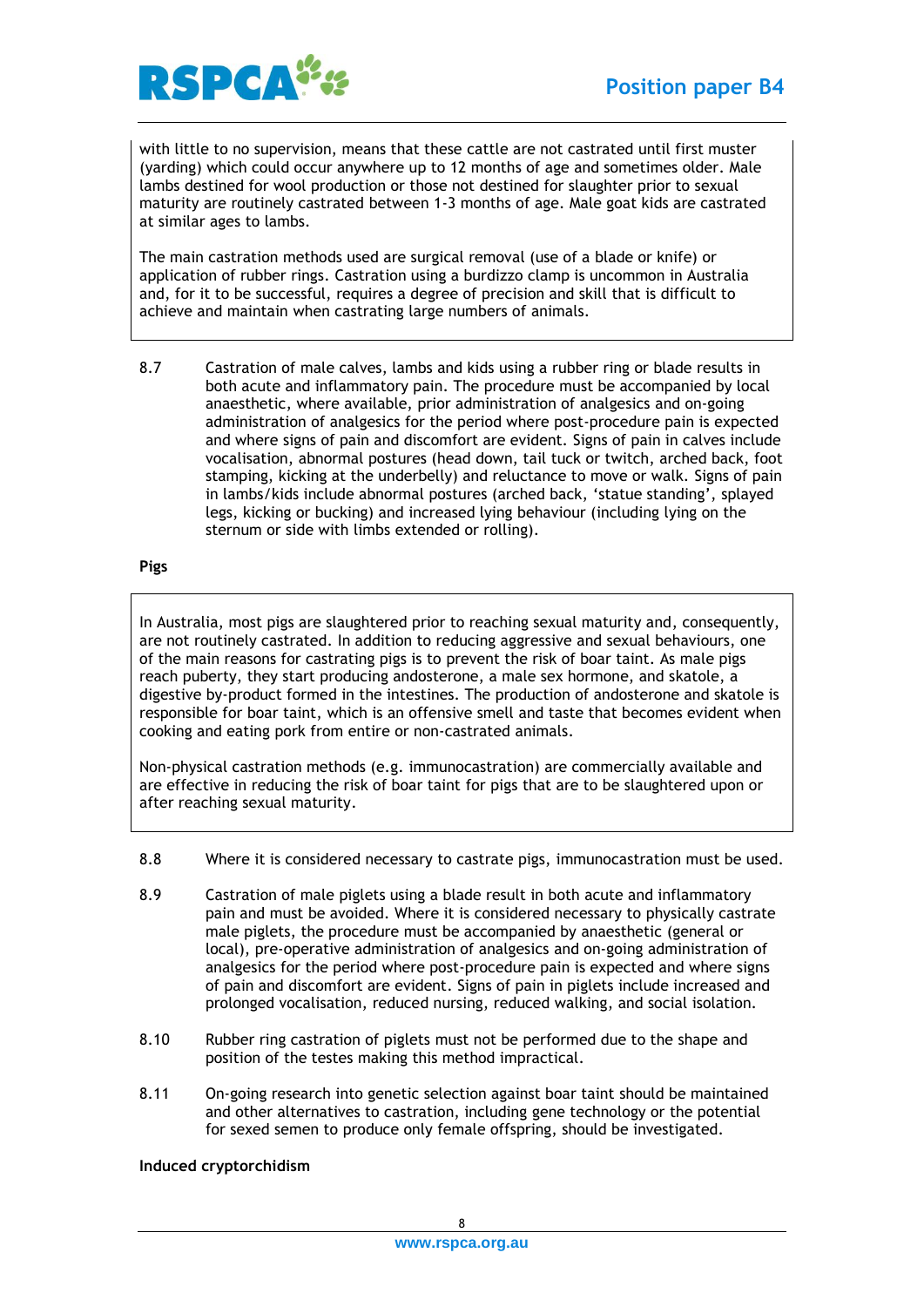

with little to no supervision, means that these cattle are not castrated until first muster (yarding) which could occur anywhere up to 12 months of age and sometimes older. Male lambs destined for wool production or those not destined for slaughter prior to sexual maturity are routinely castrated between 1-3 months of age. Male goat kids are castrated at similar ages to lambs.

The main castration methods used are surgical removal (use of a blade or knife) or application of rubber rings. Castration using a burdizzo clamp is uncommon in Australia and, for it to be successful, requires a degree of precision and skill that is difficult to achieve and maintain when castrating large numbers of animals.

8.7 Castration of male calves, lambs and kids using a rubber ring or blade results in both acute and inflammatory pain. The procedure must be accompanied by local anaesthetic, where available, prior administration of analgesics and on-going administration of analgesics for the period where post-procedure pain is expected and where signs of pain and discomfort are evident. Signs of pain in calves include vocalisation, abnormal postures (head down, tail tuck or twitch, arched back, foot stamping, kicking at the underbelly) and reluctance to move or walk. Signs of pain in lambs/kids include abnormal postures (arched back, 'statue standing', splayed legs, kicking or bucking) and increased lying behaviour (including lying on the sternum or side with limbs extended or rolling).

#### <span id="page-7-0"></span>**Pigs**

In Australia, most pigs are slaughtered prior to reaching sexual maturity and, consequently, are not routinely castrated. In addition to reducing aggressive and sexual behaviours, one of the main reasons for castrating pigs is to prevent the risk of boar taint. As male pigs reach puberty, they start producing andosterone, a male sex hormone, and skatole, a digestive by-product formed in the intestines. The production of andosterone and skatole is responsible for boar taint, which is an offensive smell and taste that becomes evident when cooking and eating pork from entire or non-castrated animals.

Non-physical castration methods (e.g. immunocastration) are commercially available and are effective in reducing the risk of boar taint for pigs that are to be slaughtered upon or after reaching sexual maturity.

- 8.8 Where it is considered necessary to castrate pigs, immunocastration must be used.
- 8.9 Castration of male piglets using a blade result in both acute and inflammatory pain and must be avoided. Where it is considered necessary to physically castrate male piglets, the procedure must be accompanied by anaesthetic (general or local), pre-operative administration of analgesics and on-going administration of analgesics for the period where post-procedure pain is expected and where signs of pain and discomfort are evident. Signs of pain in piglets include increased and prolonged vocalisation, reduced nursing, reduced walking, and social isolation.
- 8.10 Rubber ring castration of piglets must not be performed due to the shape and position of the testes making this method impractical.
- 8.11 On-going research into genetic selection against boar taint should be maintained and other alternatives to castration, including gene technology or the potential for sexed semen to produce only female offspring, should be investigated.

#### <span id="page-7-1"></span>**Induced cryptorchidism**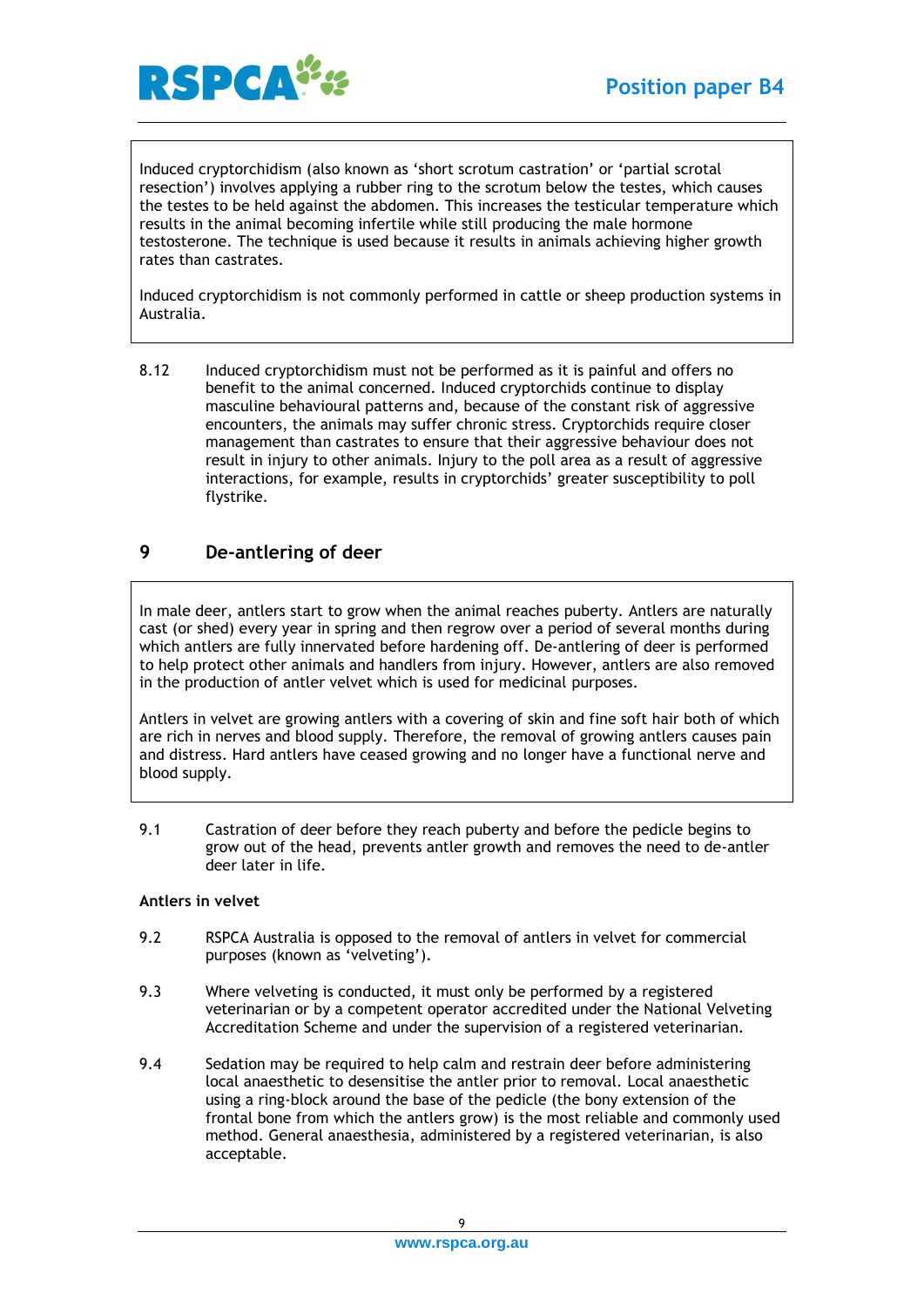

Induced cryptorchidism (also known as 'short scrotum castration' or 'partial scrotal resection') involves applying a rubber ring to the scrotum below the testes, which causes the testes to be held against the abdomen. This increases the testicular temperature which results in the animal becoming infertile while still producing the male hormone testosterone. The technique is used because it results in animals achieving higher growth rates than castrates.

Induced cryptorchidism is not commonly performed in cattle or sheep production systems in Australia.

8.12 Induced cryptorchidism must not be performed as it is painful and offers no benefit to the animal concerned. Induced cryptorchids continue to display masculine behavioural patterns and, because of the constant risk of aggressive encounters, the animals may suffer chronic stress. Cryptorchids require closer management than castrates to ensure that their aggressive behaviour does not result in injury to other animals. Injury to the poll area as a result of aggressive interactions, for example, results in cryptorchids' greater susceptibility to poll flystrike.

## <span id="page-8-0"></span>**9 De-antlering of deer**

In male deer, antlers start to grow when the animal reaches puberty. Antlers are naturally cast (or shed) every year in spring and then regrow over a period of several months during which antlers are fully innervated before hardening off. De-antlering of deer is performed to help protect other animals and handlers from injury. However, antlers are also removed in the production of antler velvet which is used for medicinal purposes.

Antlers in velvet are growing antlers with a covering of skin and fine soft hair both of which are rich in nerves and blood supply. Therefore, the removal of growing antlers causes pain and distress. Hard antlers have ceased growing and no longer have a functional nerve and blood supply.

9.1 Castration of deer before they reach puberty and before the pedicle begins to grow out of the head, prevents antler growth and removes the need to de-antler deer later in life.

#### <span id="page-8-1"></span>**Antlers in velvet**

- 9.2 RSPCA Australia is opposed to the removal of antlers in velvet for commercial purposes (known as 'velveting').
- 9.3 Where velveting is conducted, it must only be performed by a registered veterinarian or by a competent operator accredited under the National Velveting Accreditation Scheme and under the supervision of a registered veterinarian.
- 9.4 Sedation may be required to help calm and restrain deer before administering local anaesthetic to desensitise the antler prior to removal. Local anaesthetic using a ring-block around the base of the pedicle (the bony extension of the frontal bone from which the antlers grow) is the most reliable and commonly used method. General anaesthesia, administered by a registered veterinarian, is also acceptable.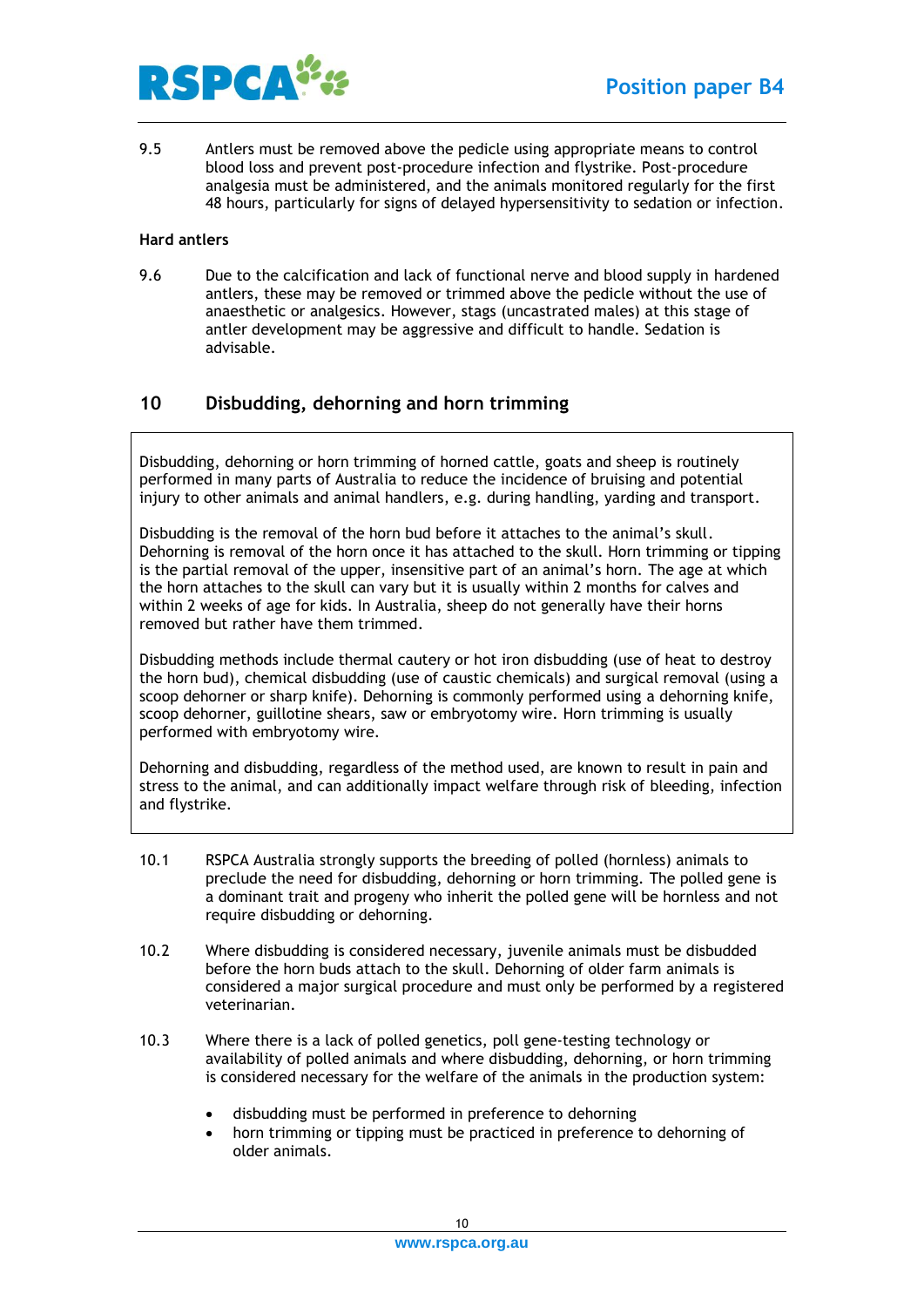

9.5 Antlers must be removed above the pedicle using appropriate means to control blood loss and prevent post-procedure infection and flystrike. Post-procedure analgesia must be administered, and the animals monitored regularly for the first 48 hours, particularly for signs of delayed hypersensitivity to sedation or infection.

#### <span id="page-9-0"></span>**Hard antlers**

9.6 Due to the calcification and lack of functional nerve and blood supply in hardened antlers, these may be removed or trimmed above the pedicle without the use of anaesthetic or analgesics. However, stags (uncastrated males) at this stage of antler development may be aggressive and difficult to handle. Sedation is advisable.

## <span id="page-9-1"></span>**10 Disbudding, dehorning and horn trimming**

Disbudding, dehorning or horn trimming of horned cattle, goats and sheep is routinely performed in many parts of Australia to reduce the incidence of bruising and potential injury to other animals and animal handlers, e.g. during handling, yarding and transport.

Disbudding is the removal of the horn bud before it attaches to the animal's skull. Dehorning is removal of the horn once it has attached to the skull. Horn trimming or tipping is the partial removal of the upper, insensitive part of an animal's horn. The age at which the horn attaches to the skull can vary but it is usually within 2 months for calves and within 2 weeks of age for kids. In Australia, sheep do not generally have their horns removed but rather have them trimmed.

Disbudding methods include thermal cautery or hot iron disbudding (use of heat to destroy the horn bud), chemical disbudding (use of caustic chemicals) and surgical removal (using a scoop dehorner or sharp knife). Dehorning is commonly performed using a dehorning knife, scoop dehorner, guillotine shears, saw or embryotomy wire. Horn trimming is usually performed with embryotomy wire.

Dehorning and disbudding, regardless of the method used, are known to result in pain and stress to the animal, and can additionally impact welfare through risk of bleeding, infection and flystrike.

- 10.1 RSPCA Australia strongly supports the breeding of polled (hornless) animals to preclude the need for disbudding, dehorning or horn trimming. The polled gene is a dominant trait and progeny who inherit the polled gene will be hornless and not require disbudding or dehorning.
- 10.2 Where disbudding is considered necessary, juvenile animals must be disbudded before the horn buds attach to the skull. Dehorning of older farm animals is considered a major surgical procedure and must only be performed by a registered veterinarian.
- 10.3 Where there is a lack of polled genetics, poll gene-testing technology or availability of polled animals and where disbudding, dehorning, or horn trimming is considered necessary for the welfare of the animals in the production system:
	- disbudding must be performed in preference to dehorning
	- horn trimming or tipping must be practiced in preference to dehorning of older animals.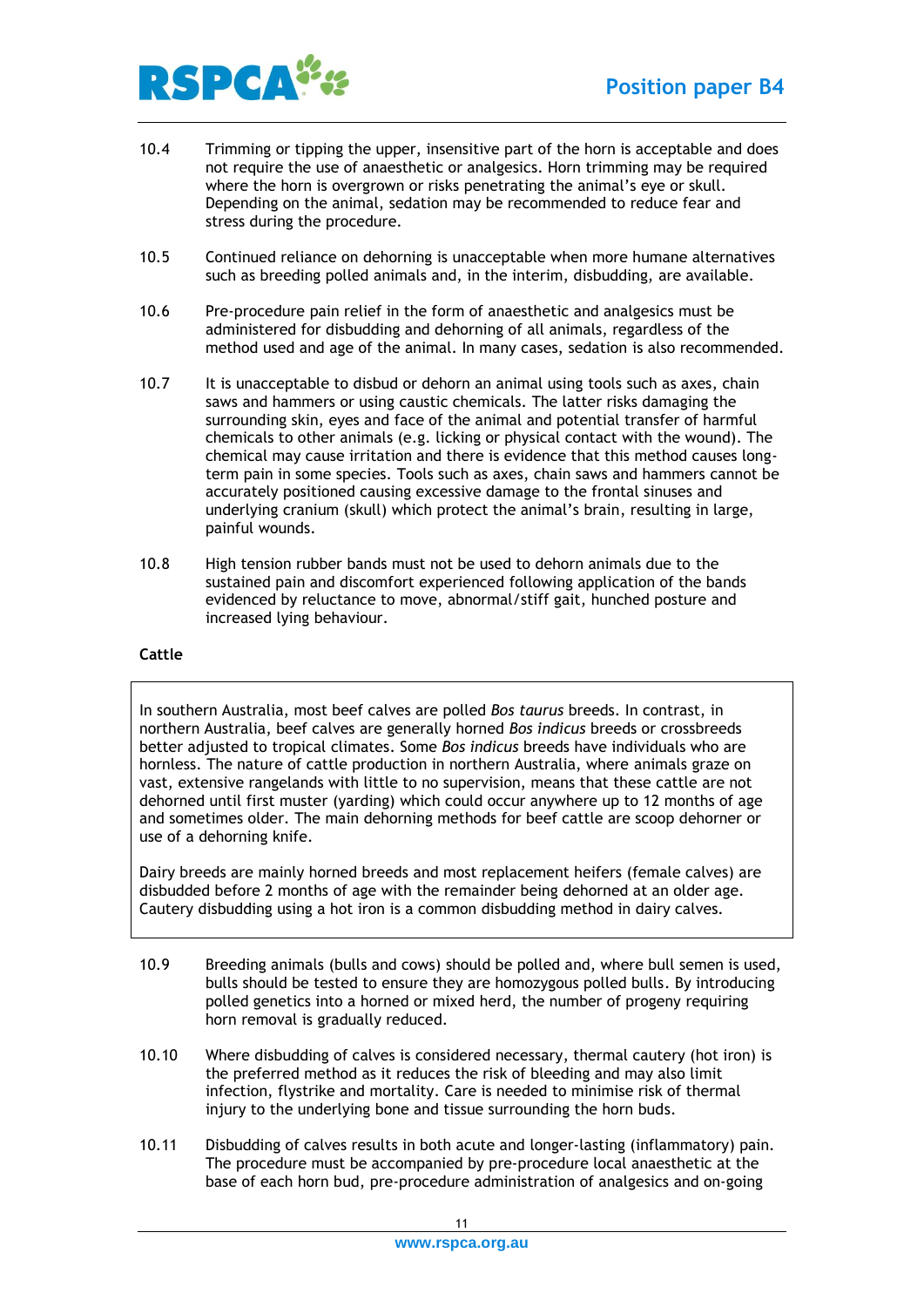

- 10.4 Trimming or tipping the upper, insensitive part of the horn is acceptable and does not require the use of anaesthetic or analgesics. Horn trimming may be required where the horn is overgrown or risks penetrating the animal's eye or skull. Depending on the animal, sedation may be recommended to reduce fear and stress during the procedure.
- 10.5 Continued reliance on dehorning is unacceptable when more humane alternatives such as breeding polled animals and, in the interim, disbudding, are available.
- 10.6 Pre-procedure pain relief in the form of anaesthetic and analgesics must be administered for disbudding and dehorning of all animals, regardless of the method used and age of the animal. In many cases, sedation is also recommended.
- 10.7 It is unacceptable to disbud or dehorn an animal using tools such as axes, chain saws and hammers or using caustic chemicals. The latter risks damaging the surrounding skin, eyes and face of the animal and potential transfer of harmful chemicals to other animals (e.g. licking or physical contact with the wound). The chemical may cause irritation and there is evidence that this method causes longterm pain in some species. Tools such as axes, chain saws and hammers cannot be accurately positioned causing excessive damage to the frontal sinuses and underlying cranium (skull) which protect the animal's brain, resulting in large, painful wounds.
- 10.8 High tension rubber bands must not be used to dehorn animals due to the sustained pain and discomfort experienced following application of the bands evidenced by reluctance to move, abnormal/stiff gait, hunched posture and increased lying behaviour.

#### <span id="page-10-0"></span>**Cattle**

In southern Australia, most beef calves are polled *Bos taurus* breeds. In contrast, in northern Australia, beef calves are generally horned *Bos indicus* breeds or crossbreeds better adjusted to tropical climates. Some *Bos indicus* breeds have individuals who are hornless. The nature of cattle production in northern Australia, where animals graze on vast, extensive rangelands with little to no supervision, means that these cattle are not dehorned until first muster (yarding) which could occur anywhere up to 12 months of age and sometimes older. The main dehorning methods for beef cattle are scoop dehorner or use of a dehorning knife.

Dairy breeds are mainly horned breeds and most replacement heifers (female calves) are disbudded before 2 months of age with the remainder being dehorned at an older age. Cautery disbudding using a hot iron is a common disbudding method in dairy calves.

- 10.9 Breeding animals (bulls and cows) should be polled and, where bull semen is used, bulls should be tested to ensure they are homozygous polled bulls. By introducing polled genetics into a horned or mixed herd, the number of progeny requiring horn removal is gradually reduced.
- 10.10 Where disbudding of calves is considered necessary, thermal cautery (hot iron) is the preferred method as it reduces the risk of bleeding and may also limit infection, flystrike and mortality. Care is needed to minimise risk of thermal injury to the underlying bone and tissue surrounding the horn buds.
- 10.11 Disbudding of calves results in both acute and longer-lasting (inflammatory) pain. The procedure must be accompanied by pre-procedure local anaesthetic at the base of each horn bud, pre-procedure administration of analgesics and on-going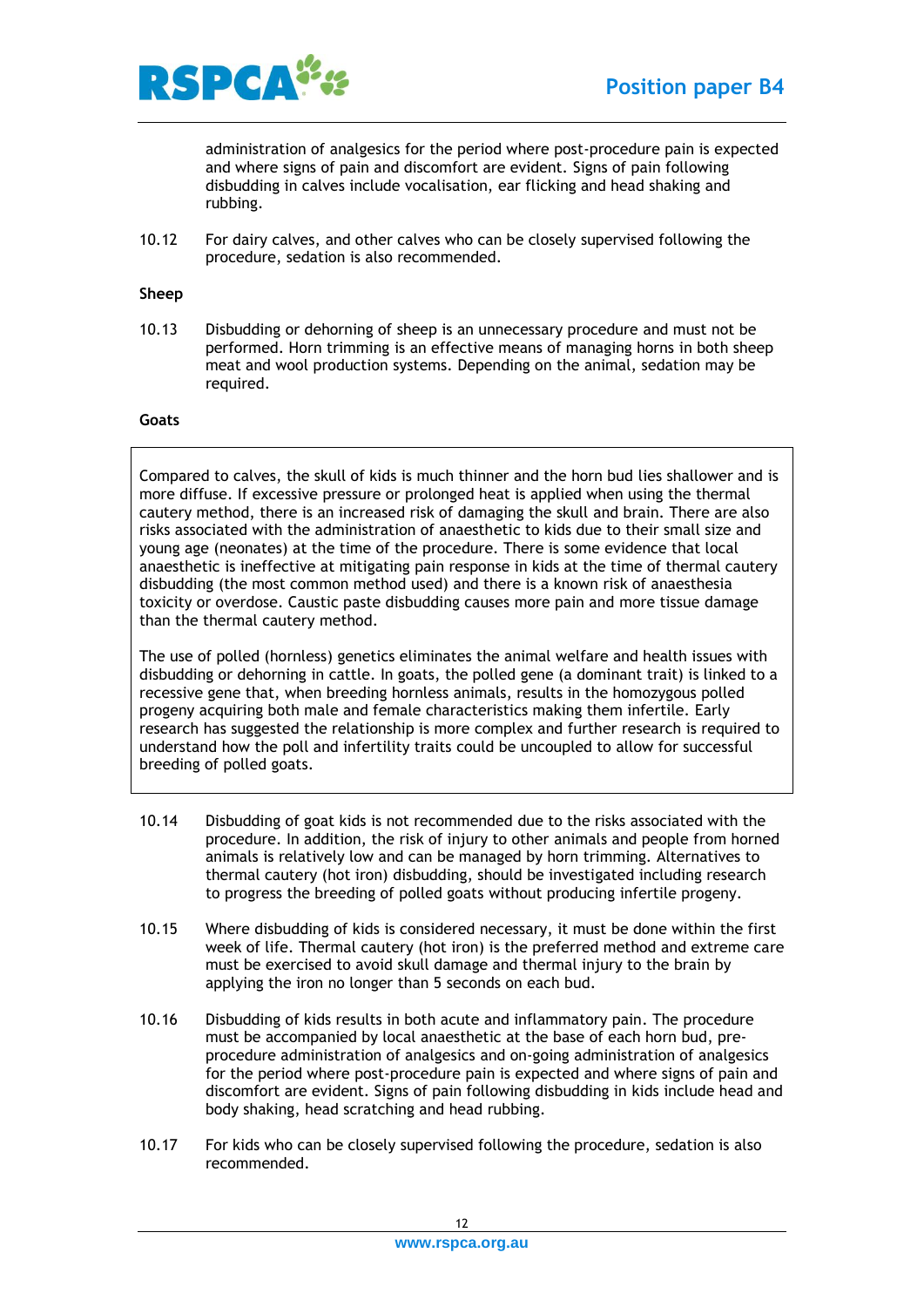

administration of analgesics for the period where post-procedure pain is expected and where signs of pain and discomfort are evident. Signs of pain following disbudding in calves include vocalisation, ear flicking and head shaking and rubbing.

10.12 For dairy calves, and other calves who can be closely supervised following the procedure, sedation is also recommended.

#### <span id="page-11-0"></span>**Sheep**

10.13 Disbudding or dehorning of sheep is an unnecessary procedure and must not be performed. Horn trimming is an effective means of managing horns in both sheep meat and wool production systems. Depending on the animal, sedation may be required.

#### <span id="page-11-1"></span>**Goats**

Compared to calves, the skull of kids is much thinner and the horn bud lies shallower and is more diffuse. If excessive pressure or prolonged heat is applied when using the thermal cautery method, there is an increased risk of damaging the skull and brain. There are also risks associated with the administration of anaesthetic to kids due to their small size and young age (neonates) at the time of the procedure. There is some evidence that local anaesthetic is ineffective at mitigating pain response in kids at the time of thermal cautery disbudding (the most common method used) and there is a known risk of anaesthesia toxicity or overdose. Caustic paste disbudding causes more pain and more tissue damage than the thermal cautery method.

The use of polled (hornless) genetics eliminates the animal welfare and health issues with disbudding or dehorning in cattle. In goats, the polled gene (a dominant trait) is linked to a recessive gene that, when breeding hornless animals, results in the homozygous polled progeny acquiring both male and female characteristics making them infertile. Early research has suggested the relationship is more complex and further research is required to understand how the poll and infertility traits could be uncoupled to allow for successful breeding of polled goats.

- 10.14 Disbudding of goat kids is not recommended due to the risks associated with the procedure. In addition, the risk of injury to other animals and people from horned animals is relatively low and can be managed by horn trimming. Alternatives to thermal cautery (hot iron) disbudding, should be investigated including research to progress the breeding of polled goats without producing infertile progeny.
- 10.15 Where disbudding of kids is considered necessary, it must be done within the first week of life. Thermal cautery (hot iron) is the preferred method and extreme care must be exercised to avoid skull damage and thermal injury to the brain by applying the iron no longer than 5 seconds on each bud.
- 10.16 Disbudding of kids results in both acute and inflammatory pain. The procedure must be accompanied by local anaesthetic at the base of each horn bud, preprocedure administration of analgesics and on-going administration of analgesics for the period where post-procedure pain is expected and where signs of pain and discomfort are evident. Signs of pain following disbudding in kids include head and body shaking, head scratching and head rubbing.
- 10.17 For kids who can be closely supervised following the procedure, sedation is also recommended.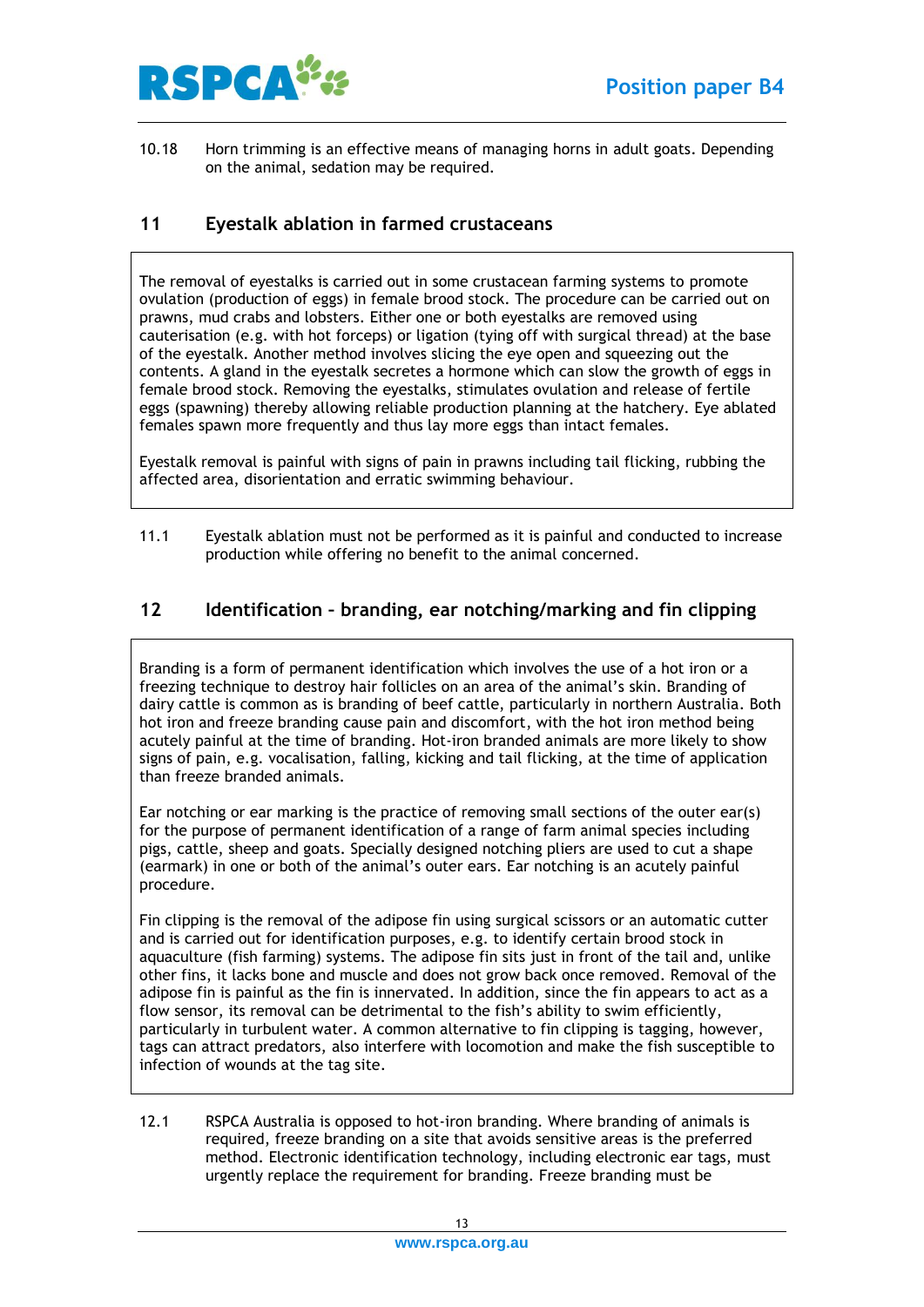

10.18 Horn trimming is an effective means of managing horns in adult goats. Depending on the animal, sedation may be required.

## <span id="page-12-0"></span>**11 Eyestalk ablation in farmed crustaceans**

The removal of eyestalks is carried out in some crustacean farming systems to promote ovulation (production of eggs) in female brood stock. The procedure can be carried out on prawns, mud crabs and lobsters. Either one or both eyestalks are removed using cauterisation (e.g. with hot forceps) or ligation (tying off with surgical thread) at the base of the eyestalk. Another method involves slicing the eye open and squeezing out the contents. A gland in the eyestalk secretes a hormone which can slow the growth of eggs in female brood stock. Removing the eyestalks, stimulates ovulation and release of fertile eggs (spawning) thereby allowing reliable production planning at the hatchery. Eye ablated females spawn more frequently and thus lay more eggs than intact females.

Eyestalk removal is painful with signs of pain in prawns including tail flicking, rubbing the affected area, disorientation and erratic swimming behaviour.

11.1 Eyestalk ablation must not be performed as it is painful and conducted to increase production while offering no benefit to the animal concerned.

## <span id="page-12-1"></span>**12 Identification – branding, ear notching/marking and fin clipping**

Branding is a form of permanent identification which involves the use of a hot iron or a freezing technique to destroy hair follicles on an area of the animal's skin. Branding of dairy cattle is common as is branding of beef cattle, particularly in northern Australia. Both hot iron and freeze branding cause pain and discomfort, with the hot iron method being acutely painful at the time of branding. Hot-iron branded animals are more likely to show signs of pain, e.g. vocalisation, falling, kicking and tail flicking, at the time of application than freeze branded animals.

Ear notching or ear marking is the practice of removing small sections of the outer ear(s) for the purpose of permanent identification of a range of farm animal species including pigs, cattle, sheep and goats. Specially designed notching pliers are used to cut a shape (earmark) in one or both of the animal's outer ears. Ear notching is an acutely painful procedure.

Fin clipping is the removal of the adipose fin using surgical scissors or an automatic cutter and is carried out for identification purposes, e.g. to identify certain brood stock in aquaculture (fish farming) systems. The adipose fin sits just in front of the tail and, unlike other fins, it lacks bone and muscle and does not grow back once removed. Removal of the adipose fin is painful as the fin is innervated. In addition, since the fin appears to act as a flow sensor, its removal can be detrimental to the fish's ability to swim efficiently, particularly in turbulent water. A common alternative to fin clipping is tagging, however, tags can attract predators, also interfere with locomotion and make the fish susceptible to infection of wounds at the tag site.

12.1 RSPCA Australia is opposed to hot-iron branding. Where branding of animals is required, freeze branding on a site that avoids sensitive areas is the preferred method. Electronic identification technology, including electronic ear tags, must urgently replace the requirement for branding. Freeze branding must be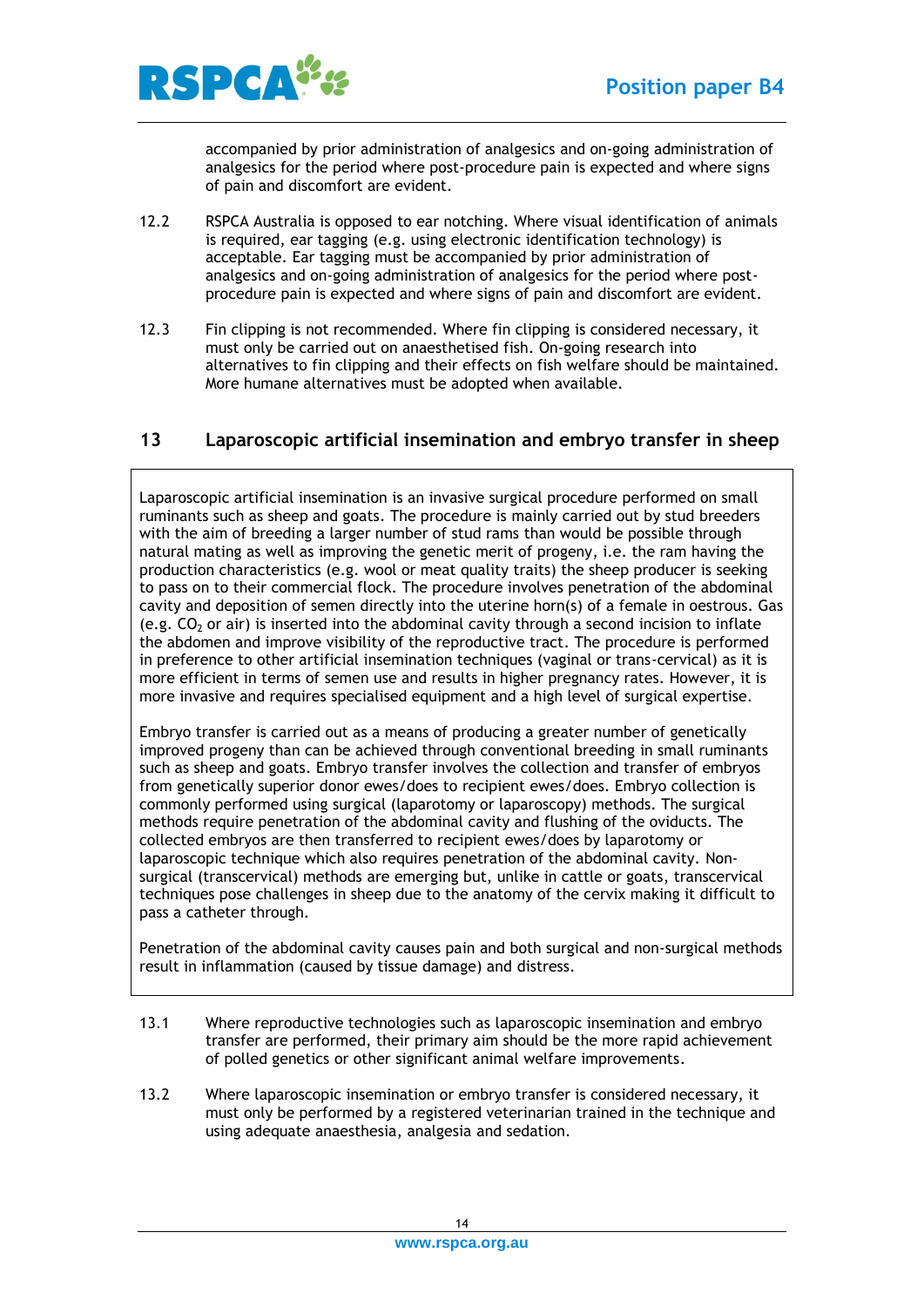

accompanied by prior administration of analgesics and on-going administration of analgesics for the period where post-procedure pain is expected and where signs of pain and discomfort are evident.

- 12.2 RSPCA Australia is opposed to ear notching. Where visual identification of animals is required, ear tagging (e.g. using electronic identification technology) is acceptable. Ear tagging must be accompanied by prior administration of analgesics and on-going administration of analgesics for the period where postprocedure pain is expected and where signs of pain and discomfort are evident.
- 12.3 Fin clipping is not recommended. Where fin clipping is considered necessary, it must only be carried out on anaesthetised fish. On-going research into alternatives to fin clipping and their effects on fish welfare should be maintained. More humane alternatives must be adopted when available.

## <span id="page-13-0"></span>**13 Laparoscopic artificial insemination and embryo transfer in sheep**

Laparoscopic artificial insemination is an invasive surgical procedure performed on small ruminants such as sheep and goats. The procedure is mainly carried out by stud breeders with the aim of breeding a larger number of stud rams than would be possible through natural mating as well as improving the genetic merit of progeny, i.e. the ram having the production characteristics (e.g. wool or meat quality traits) the sheep producer is seeking to pass on to their commercial flock. The procedure involves penetration of the abdominal cavity and deposition of semen directly into the uterine horn(s) of a female in oestrous. Gas (e.g.  $CO<sub>2</sub>$  or air) is inserted into the abdominal cavity through a second incision to inflate the abdomen and improve visibility of the reproductive tract. The procedure is performed in preference to other artificial insemination techniques (vaginal or trans-cervical) as it is more efficient in terms of semen use and results in higher pregnancy rates. However, it is more invasive and requires specialised equipment and a high level of surgical expertise.

Embryo transfer is carried out as a means of producing a greater number of genetically improved progeny than can be achieved through conventional breeding in small ruminants such as sheep and goats. Embryo transfer involves the collection and transfer of embryos from genetically superior donor ewes/does to recipient ewes/does. Embryo collection is commonly performed using surgical (laparotomy or laparoscopy) methods. The surgical methods require penetration of the abdominal cavity and flushing of the oviducts. The collected embryos are then transferred to recipient ewes/does by laparotomy or laparoscopic technique which also requires penetration of the abdominal cavity. Nonsurgical (transcervical) methods are emerging but, unlike in cattle or goats, transcervical techniques pose challenges in sheep due to the anatomy of the cervix making it difficult to pass a catheter through.

Penetration of the abdominal cavity causes pain and both surgical and non-surgical methods result in inflammation (caused by tissue damage) and distress.

- 13.1 Where reproductive technologies such as laparoscopic insemination and embryo transfer are performed, their primary aim should be the more rapid achievement of polled genetics or other significant animal welfare improvements.
- 13.2 Where laparoscopic insemination or embryo transfer is considered necessary, it must only be performed by a registered veterinarian trained in the technique and using adequate anaesthesia, analgesia and sedation.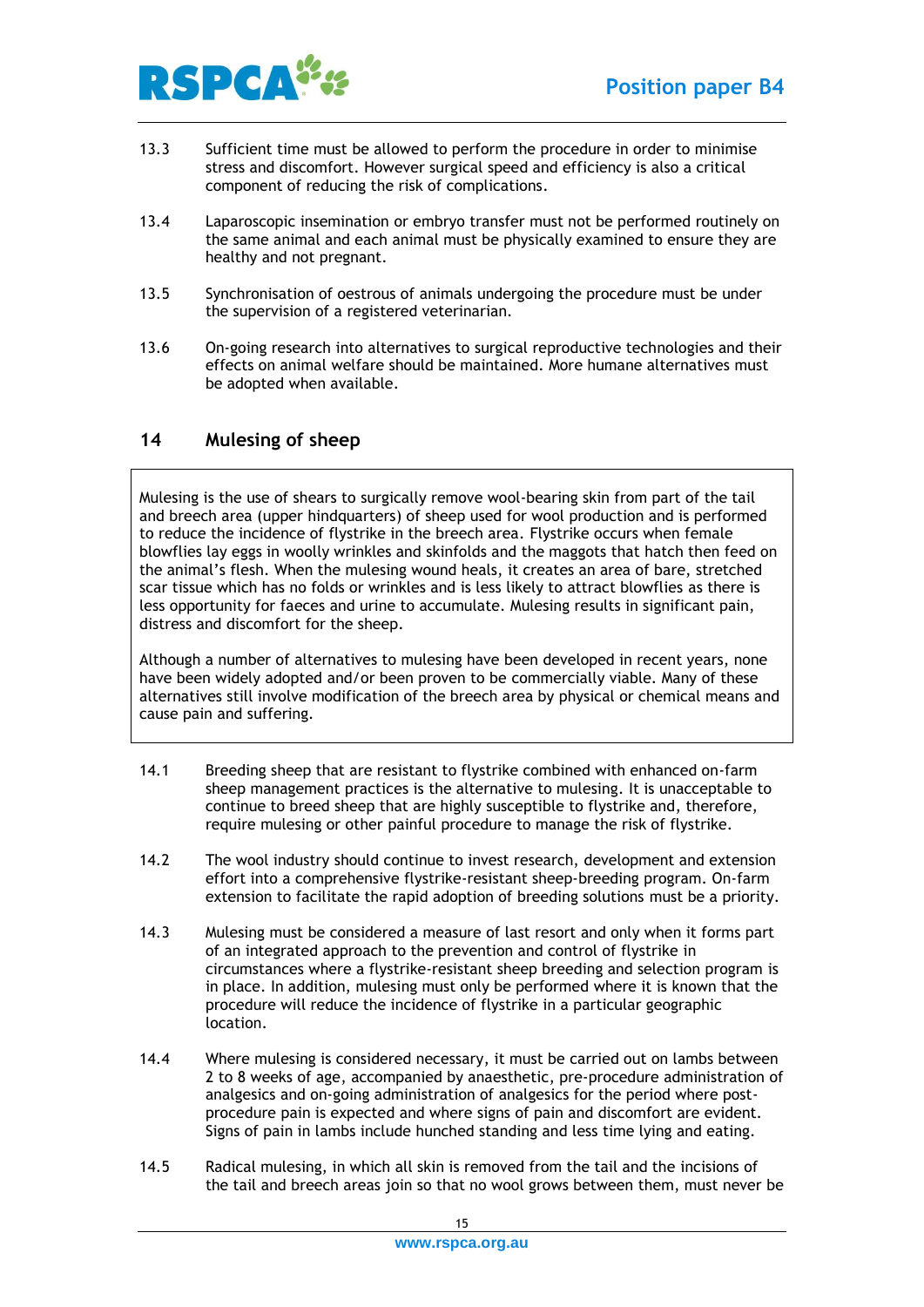

- 13.3 Sufficient time must be allowed to perform the procedure in order to minimise stress and discomfort. However surgical speed and efficiency is also a critical component of reducing the risk of complications.
- 13.4 Laparoscopic insemination or embryo transfer must not be performed routinely on the same animal and each animal must be physically examined to ensure they are healthy and not pregnant.
- 13.5 Synchronisation of oestrous of animals undergoing the procedure must be under the supervision of a registered veterinarian.
- 13.6 On-going research into alternatives to surgical reproductive technologies and their effects on animal welfare should be maintained. More humane alternatives must be adopted when available.

## <span id="page-14-0"></span>**14 Mulesing of sheep**

Mulesing is the use of shears to surgically remove wool-bearing skin from part of the tail and breech area (upper hindquarters) of sheep used for wool production and is performed to reduce the incidence of flystrike in the breech area. Flystrike occurs when female blowflies lay eggs in woolly wrinkles and skinfolds and the maggots that hatch then feed on the animal's flesh. When the mulesing wound heals, it creates an area of bare, stretched scar tissue which has no folds or wrinkles and is less likely to attract blowflies as there is less opportunity for faeces and urine to accumulate. Mulesing results in significant pain, distress and discomfort for the sheep.

Although a number of alternatives to mulesing have been developed in recent years, none have been widely adopted and/or been proven to be commercially viable. Many of these alternatives still involve modification of the breech area by physical or chemical means and cause pain and suffering.

- 14.1 Breeding sheep that are resistant to flystrike combined with enhanced on-farm sheep management practices is the alternative to mulesing. It is unacceptable to continue to breed sheep that are highly susceptible to flystrike and, therefore, require mulesing or other painful procedure to manage the risk of flystrike.
- 14.2 The wool industry should continue to invest research, development and extension effort into a comprehensive flystrike-resistant sheep-breeding program. On-farm extension to facilitate the rapid adoption of breeding solutions must be a priority.
- 14.3 Mulesing must be considered a measure of last resort and only when it forms part of an integrated approach to the prevention and control of flystrike in circumstances where a flystrike-resistant sheep breeding and selection program is in place. In addition, mulesing must only be performed where it is known that the procedure will reduce the incidence of flystrike in a particular geographic location.
- 14.4 Where mulesing is considered necessary, it must be carried out on lambs between 2 to 8 weeks of age, accompanied by anaesthetic, pre-procedure administration of analgesics and on-going administration of analgesics for the period where postprocedure pain is expected and where signs of pain and discomfort are evident. Signs of pain in lambs include hunched standing and less time lying and eating.
- 14.5 Radical mulesing, in which all skin is removed from the tail and the incisions of the tail and breech areas join so that no wool grows between them, must never be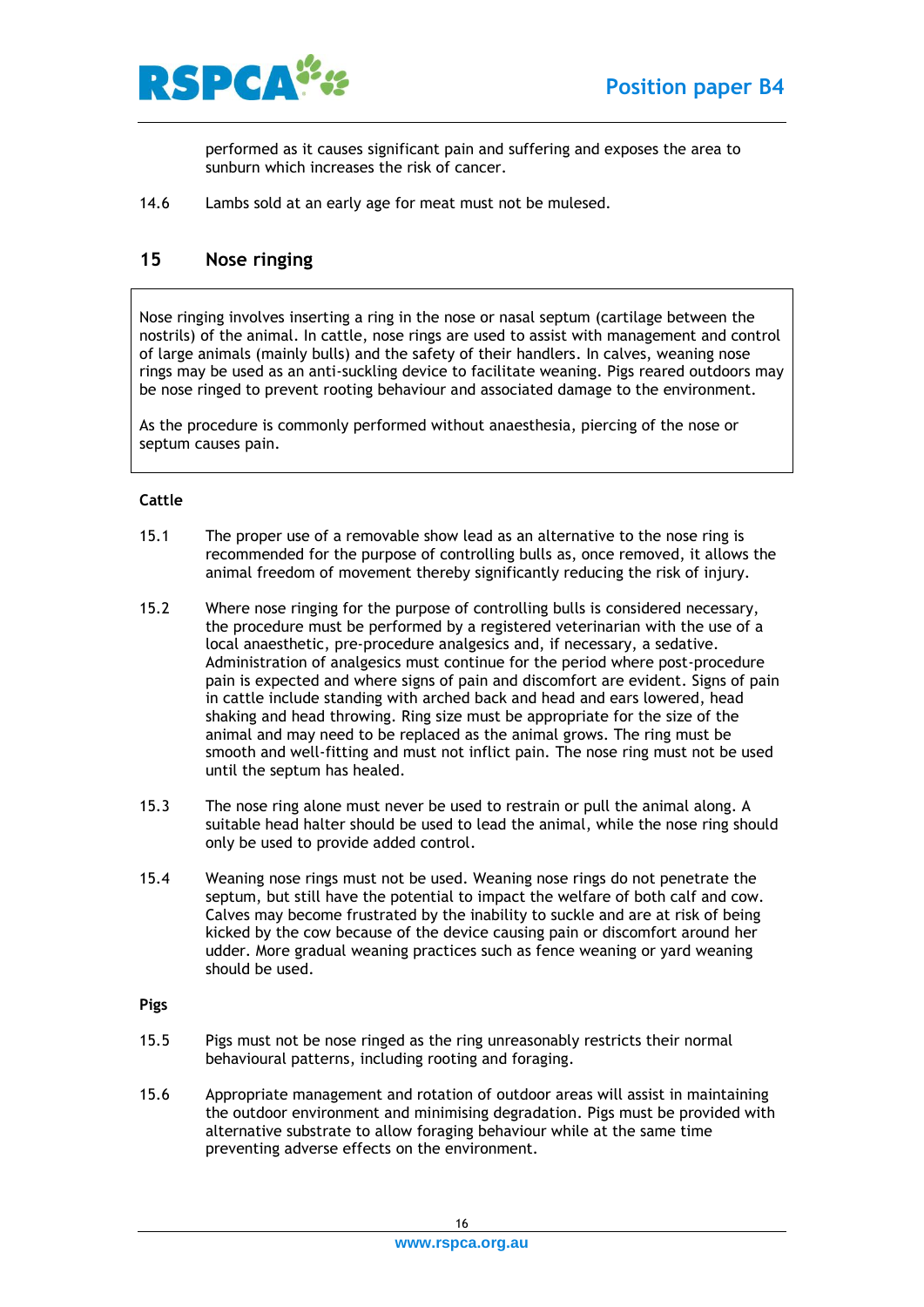

performed as it causes significant pain and suffering and exposes the area to sunburn which increases the risk of cancer.

14.6 Lambs sold at an early age for meat must not be mulesed.

## <span id="page-15-0"></span>**15 Nose ringing**

Nose ringing involves inserting a ring in the nose or nasal septum (cartilage between the nostrils) of the animal. In cattle, nose rings are used to assist with management and control of large animals (mainly bulls) and the safety of their handlers. In calves, weaning nose rings may be used as an anti-suckling device to facilitate weaning. Pigs reared outdoors may be nose ringed to prevent rooting behaviour and associated damage to the environment.

As the procedure is commonly performed without anaesthesia, piercing of the nose or septum causes pain.

#### <span id="page-15-1"></span>**Cattle**

- 15.1 The proper use of a removable show lead as an alternative to the nose ring is recommended for the purpose of controlling bulls as, once removed, it allows the animal freedom of movement thereby significantly reducing the risk of injury.
- 15.2 Where nose ringing for the purpose of controlling bulls is considered necessary, the procedure must be performed by a registered veterinarian with the use of a local anaesthetic, pre-procedure analgesics and, if necessary, a sedative. Administration of analgesics must continue for the period where post-procedure pain is expected and where signs of pain and discomfort are evident. Signs of pain in cattle include standing with arched back and head and ears lowered, head shaking and head throwing. Ring size must be appropriate for the size of the animal and may need to be replaced as the animal grows. The ring must be smooth and well-fitting and must not inflict pain. The nose ring must not be used until the septum has healed.
- 15.3 The nose ring alone must never be used to restrain or pull the animal along. A suitable head halter should be used to lead the animal, while the nose ring should only be used to provide added control.
- 15.4 Weaning nose rings must not be used. Weaning nose rings do not penetrate the septum, but still have the potential to impact the welfare of both calf and cow. Calves may become frustrated by the inability to suckle and are at risk of being kicked by the cow because of the device causing pain or discomfort around her udder. More gradual weaning practices such as fence weaning or yard weaning should be used.

#### <span id="page-15-2"></span>**Pigs**

- 15.5 Pigs must not be nose ringed as the ring unreasonably restricts their normal behavioural patterns, including rooting and foraging.
- 15.6 Appropriate management and rotation of outdoor areas will assist in maintaining the outdoor environment and minimising degradation. Pigs must be provided with alternative substrate to allow foraging behaviour while at the same time preventing adverse effects on the environment.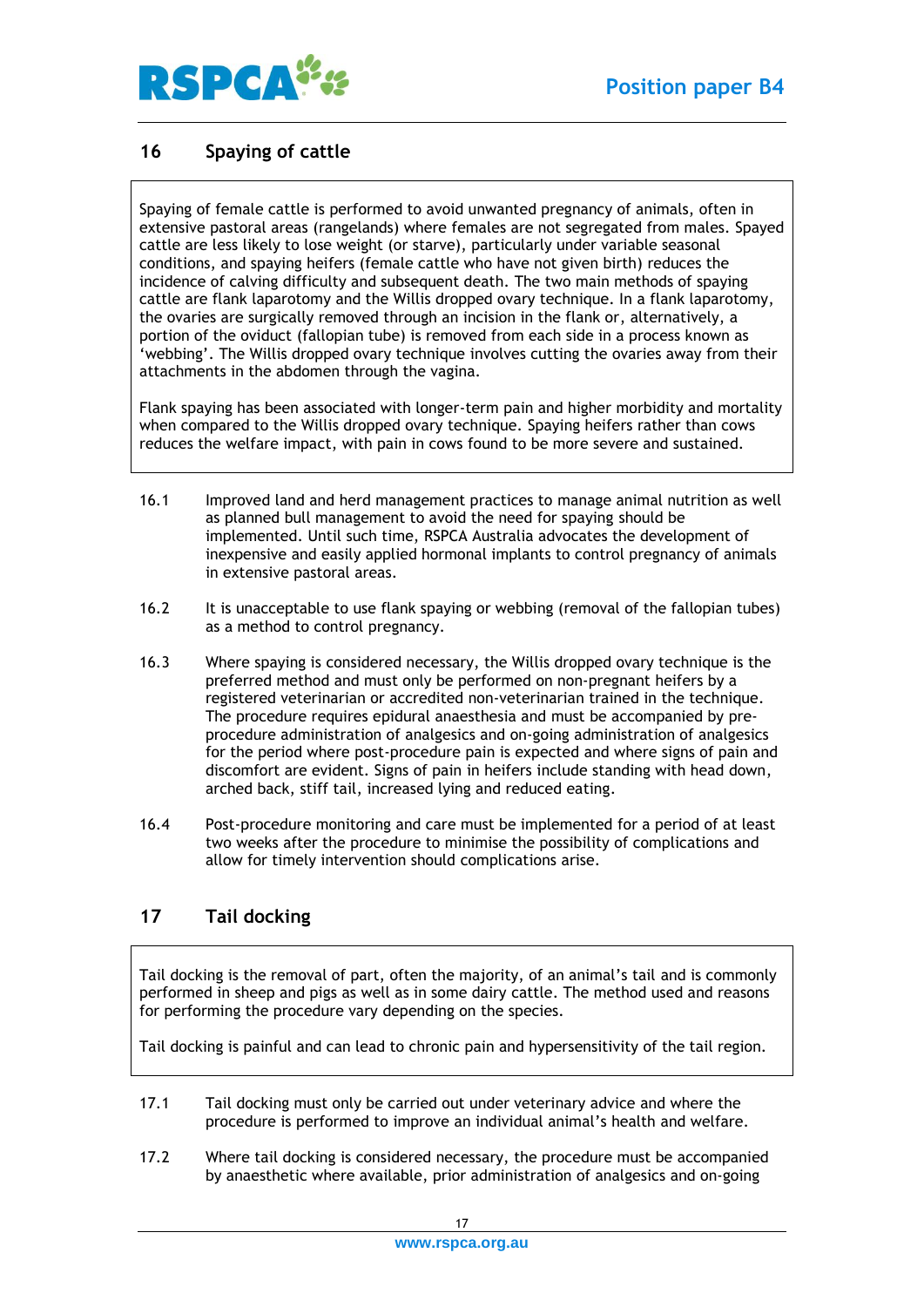

## <span id="page-16-0"></span>**16 Spaying of cattle**

Spaying of female cattle is performed to avoid unwanted pregnancy of animals, often in extensive pastoral areas (rangelands) where females are not segregated from males. Spayed cattle are less likely to lose weight (or starve), particularly under variable seasonal conditions, and spaying heifers (female cattle who have not given birth) reduces the incidence of calving difficulty and subsequent death. The two main methods of spaying cattle are flank laparotomy and the Willis dropped ovary technique. In a flank laparotomy, the ovaries are surgically removed through an incision in the flank or, alternatively, a portion of the oviduct (fallopian tube) is removed from each side in a process known as 'webbing'. The Willis dropped ovary technique involves cutting the ovaries away from their attachments in the abdomen through the vagina.

Flank spaying has been associated with longer-term pain and higher morbidity and mortality when compared to the Willis dropped ovary technique. Spaying heifers rather than cows reduces the welfare impact, with pain in cows found to be more severe and sustained.

- 16.1 Improved land and herd management practices to manage animal nutrition as well as planned bull management to avoid the need for spaying should be implemented. Until such time, RSPCA Australia advocates the development of inexpensive and easily applied hormonal implants to control pregnancy of animals in extensive pastoral areas.
- 16.2 It is unacceptable to use flank spaying or webbing (removal of the fallopian tubes) as a method to control pregnancy.
- 16.3 Where spaying is considered necessary, the Willis dropped ovary technique is the preferred method and must only be performed on non-pregnant heifers by a registered veterinarian or accredited non-veterinarian trained in the technique. The procedure requires epidural anaesthesia and must be accompanied by preprocedure administration of analgesics and on-going administration of analgesics for the period where post-procedure pain is expected and where signs of pain and discomfort are evident. Signs of pain in heifers include standing with head down, arched back, stiff tail, increased lying and reduced eating.
- 16.4 Post-procedure monitoring and care must be implemented for a period of at least two weeks after the procedure to minimise the possibility of complications and allow for timely intervention should complications arise.

## <span id="page-16-1"></span>**17 Tail docking**

Tail docking is the removal of part, often the majority, of an animal's tail and is commonly performed in sheep and pigs as well as in some dairy cattle. The method used and reasons for performing the procedure vary depending on the species.

Tail docking is painful and can lead to chronic pain and hypersensitivity of the tail region.

- 17.1 Tail docking must only be carried out under veterinary advice and where the procedure is performed to improve an individual animal's health and welfare.
- 17.2 Where tail docking is considered necessary, the procedure must be accompanied by anaesthetic where available, prior administration of analgesics and on-going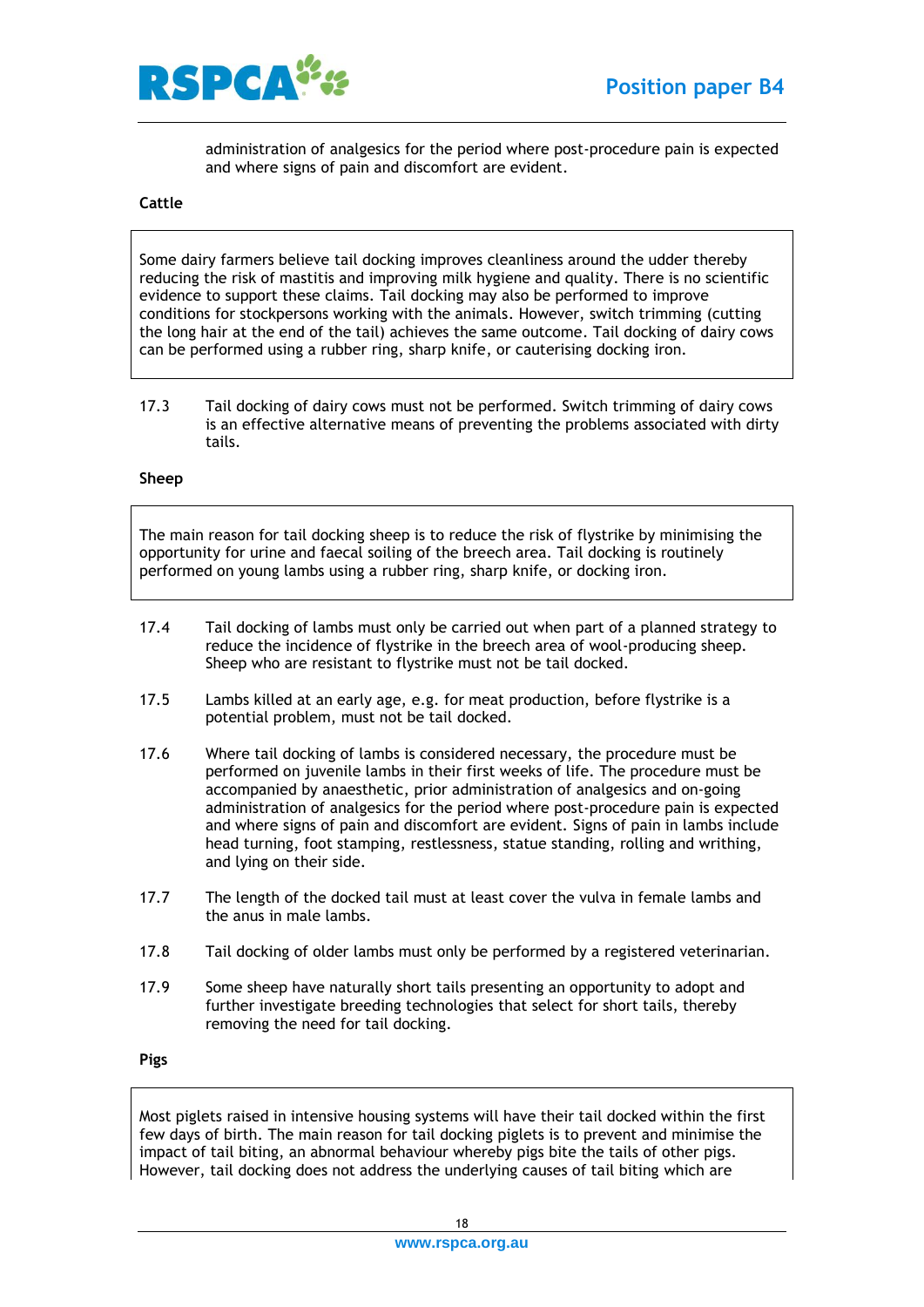

administration of analgesics for the period where post-procedure pain is expected and where signs of pain and discomfort are evident.

#### <span id="page-17-0"></span>**Cattle**

Some dairy farmers believe tail docking improves cleanliness around the udder thereby reducing the risk of mastitis and improving milk hygiene and quality. There is no scientific evidence to support these claims. Tail docking may also be performed to improve conditions for stockpersons working with the animals. However, switch trimming (cutting the long hair at the end of the tail) achieves the same outcome. Tail docking of dairy cows can be performed using a rubber ring, sharp knife, or cauterising docking iron.

17.3 Tail docking of dairy cows must not be performed. Switch trimming of dairy cows is an effective alternative means of preventing the problems associated with dirty tails.

#### <span id="page-17-1"></span>**Sheep**

The main reason for tail docking sheep is to reduce the risk of flystrike by minimising the opportunity for urine and faecal soiling of the breech area. Tail docking is routinely performed on young lambs using a rubber ring, sharp knife, or docking iron.

- 17.4 Tail docking of lambs must only be carried out when part of a planned strategy to reduce the incidence of flystrike in the breech area of wool-producing sheep. Sheep who are resistant to flystrike must not be tail docked.
- 17.5 Lambs killed at an early age, e.g. for meat production, before flystrike is a potential problem, must not be tail docked.
- 17.6 Where tail docking of lambs is considered necessary, the procedure must be performed on juvenile lambs in their first weeks of life. The procedure must be accompanied by anaesthetic, prior administration of analgesics and on-going administration of analgesics for the period where post-procedure pain is expected and where signs of pain and discomfort are evident. Signs of pain in lambs include head turning, foot stamping, restlessness, statue standing, rolling and writhing, and lying on their side.
- 17.7 The length of the docked tail must at least cover the vulva in female lambs and the anus in male lambs.
- 17.8 Tail docking of older lambs must only be performed by a registered veterinarian.
- 17.9 Some sheep have naturally short tails presenting an opportunity to adopt and further investigate breeding technologies that select for short tails, thereby removing the need for tail docking.

<span id="page-17-2"></span>**Pigs**

Most piglets raised in intensive housing systems will have their tail docked within the first few days of birth. The main reason for tail docking piglets is to prevent and minimise the impact of tail biting, an abnormal behaviour whereby pigs bite the tails of other pigs. However, tail docking does not address the underlying causes of tail biting which are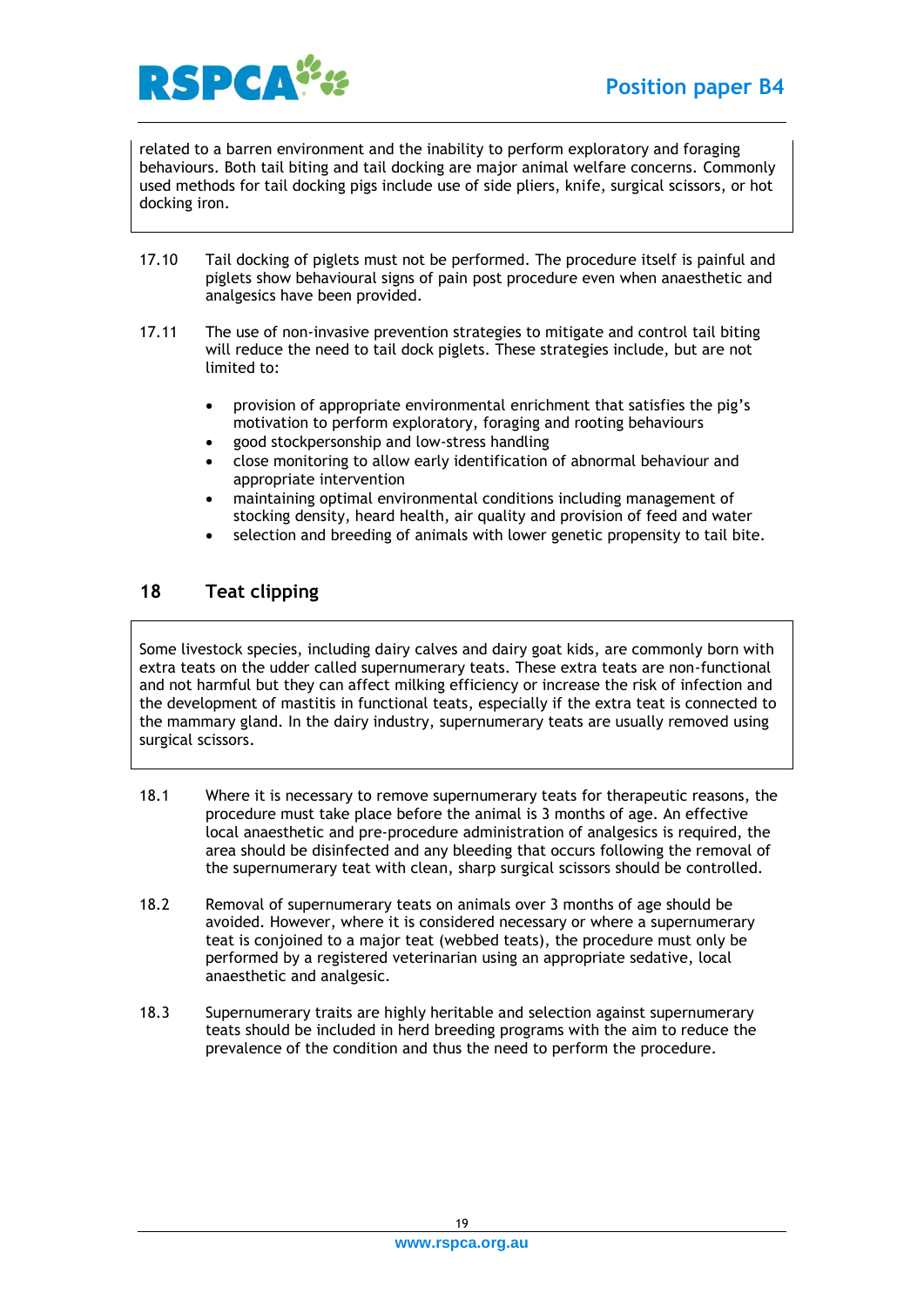

related to a barren environment and the inability to perform exploratory and foraging behaviours. Both tail biting and tail docking are major animal welfare concerns. Commonly used methods for tail docking pigs include use of side pliers, knife, surgical scissors, or hot docking iron.

- 17.10 Tail docking of piglets must not be performed. The procedure itself is painful and piglets show behavioural signs of pain post procedure even when anaesthetic and analgesics have been provided.
- 17.11 The use of non-invasive prevention strategies to mitigate and control tail biting will reduce the need to tail dock piglets. These strategies include, but are not limited to:
	- provision of appropriate environmental enrichment that satisfies the pig's motivation to perform exploratory, foraging and rooting behaviours
	- good stockpersonship and low-stress handling
	- close monitoring to allow early identification of abnormal behaviour and appropriate intervention
	- maintaining optimal environmental conditions including management of stocking density, heard health, air quality and provision of feed and water
	- selection and breeding of animals with lower genetic propensity to tail bite.

## <span id="page-18-0"></span>**18 Teat clipping**

Some livestock species, including dairy calves and dairy goat kids, are commonly born with extra teats on the udder called supernumerary teats. These extra teats are non-functional and not harmful but they can affect milking efficiency or increase the risk of infection and the development of mastitis in functional teats, especially if the extra teat is connected to the mammary gland. In the dairy industry, supernumerary teats are usually removed using surgical scissors.

- 18.1 Where it is necessary to remove supernumerary teats for therapeutic reasons, the procedure must take place before the animal is 3 months of age. An effective local anaesthetic and pre-procedure administration of analgesics is required, the area should be disinfected and any bleeding that occurs following the removal of the supernumerary teat with clean, sharp surgical scissors should be controlled.
- 18.2 Removal of supernumerary teats on animals over 3 months of age should be avoided. However, where it is considered necessary or where a supernumerary teat is conjoined to a major teat (webbed teats), the procedure must only be performed by a registered veterinarian using an appropriate sedative, local anaesthetic and analgesic.
- 18.3 Supernumerary traits are highly heritable and selection against supernumerary teats should be included in herd breeding programs with the aim to reduce the prevalence of the condition and thus the need to perform the procedure.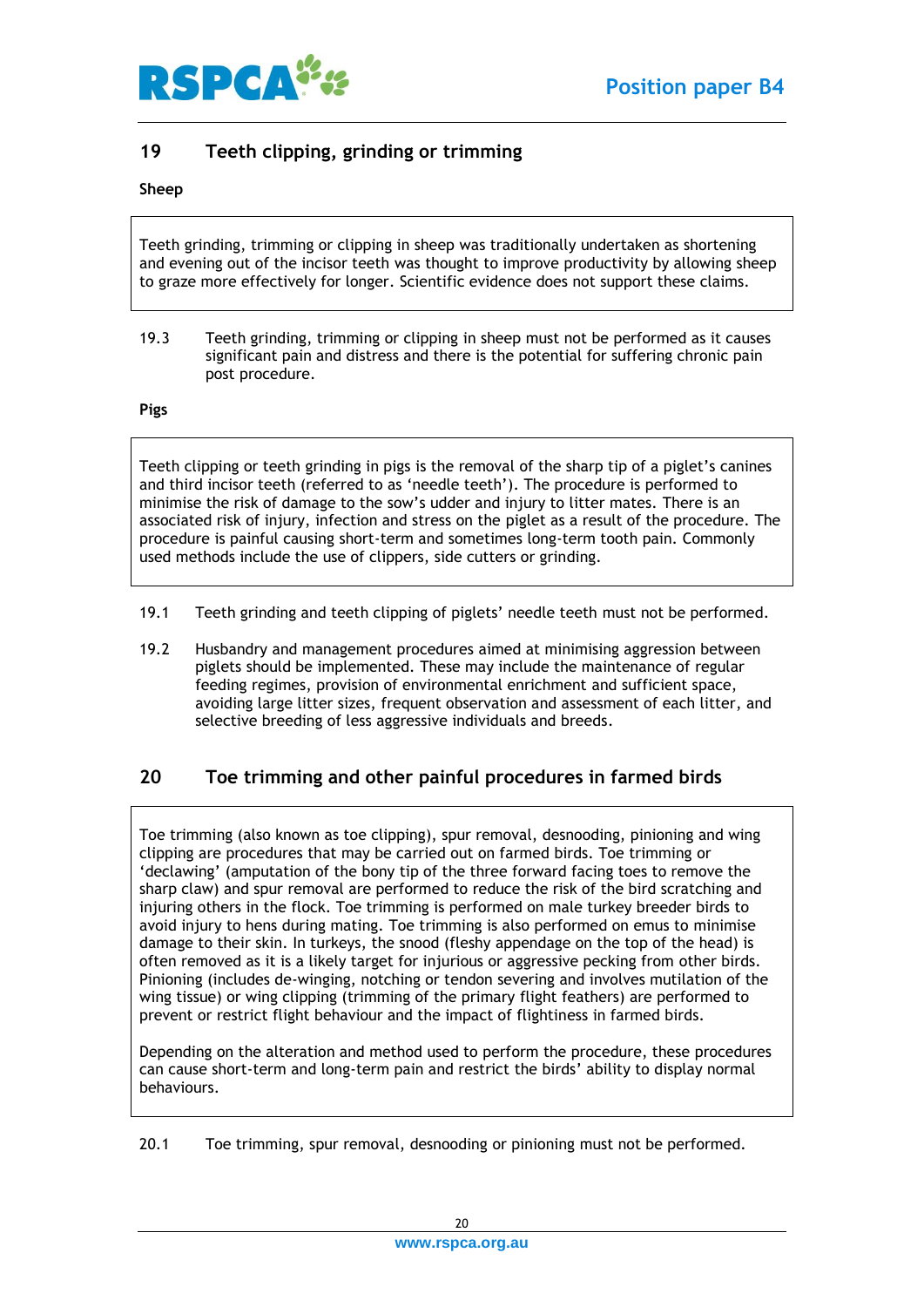

## <span id="page-19-0"></span>**19 Teeth clipping, grinding or trimming**

#### <span id="page-19-1"></span>**Sheep**

Teeth grinding, trimming or clipping in sheep was traditionally undertaken as shortening and evening out of the incisor teeth was thought to improve productivity by allowing sheep to graze more effectively for longer. Scientific evidence does not support these claims.

19.3 Teeth grinding, trimming or clipping in sheep must not be performed as it causes significant pain and distress and there is the potential for suffering chronic pain post procedure.

#### <span id="page-19-2"></span>**Pigs**

Teeth clipping or teeth grinding in pigs is the removal of the sharp tip of a piglet's canines and third incisor teeth (referred to as 'needle teeth'). The procedure is performed to minimise the risk of damage to the sow's udder and injury to litter mates. There is an associated risk of injury, infection and stress on the piglet as a result of the procedure. The procedure is painful causing short-term and sometimes long-term tooth pain. Commonly used methods include the use of clippers, side cutters or grinding.

- 19.1 Teeth grinding and teeth clipping of piglets' needle teeth must not be performed.
- 19.2 Husbandry and management procedures aimed at minimising aggression between piglets should be implemented. These may include the maintenance of regular feeding regimes, provision of environmental enrichment and sufficient space, avoiding large litter sizes, frequent observation and assessment of each litter, and selective breeding of less aggressive individuals and breeds.

## <span id="page-19-3"></span>**20 Toe trimming and other painful procedures in farmed birds**

Toe trimming (also known as toe clipping), spur removal, desnooding, pinioning and wing clipping are procedures that may be carried out on farmed birds. Toe trimming or 'declawing' (amputation of the bony tip of the three forward facing toes to remove the sharp claw) and spur removal are performed to reduce the risk of the bird scratching and injuring others in the flock. Toe trimming is performed on male turkey breeder birds to avoid injury to hens during mating. Toe trimming is also performed on emus to minimise damage to their skin. In turkeys, the snood (fleshy appendage on the top of the head) is often removed as it is a likely target for injurious or aggressive pecking from other birds. Pinioning (includes de-winging, notching or tendon severing and involves mutilation of the wing tissue) or wing clipping (trimming of the primary flight feathers) are performed to prevent or restrict flight behaviour and the impact of flightiness in farmed birds.

Depending on the alteration and method used to perform the procedure, these procedures can cause short-term and long-term pain and restrict the birds' ability to display normal behaviours.

20.1 Toe trimming, spur removal, desnooding or pinioning must not be performed.